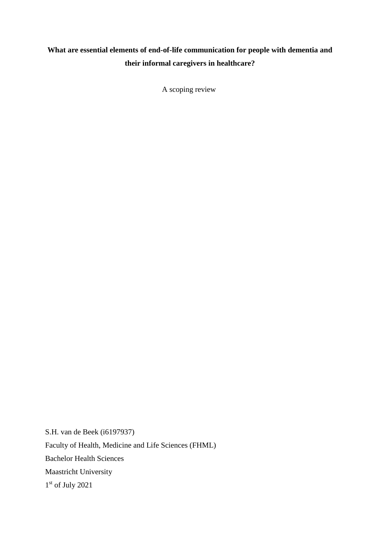## **What are essential elements of end-of-life communication for people with dementia and their informal caregivers in healthcare?**

A scoping review

S.H. van de Beek (i6197937) Faculty of Health, Medicine and Life Sciences (FHML) Bachelor Health Sciences Maastricht University 1 st of July 2021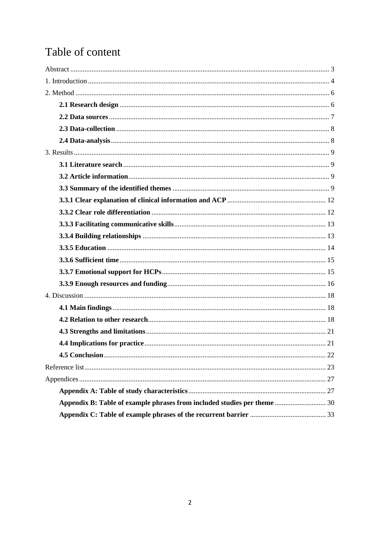# Table of content

| Appendix B: Table of example phrases from included studies per theme  30 |  |
|--------------------------------------------------------------------------|--|
|                                                                          |  |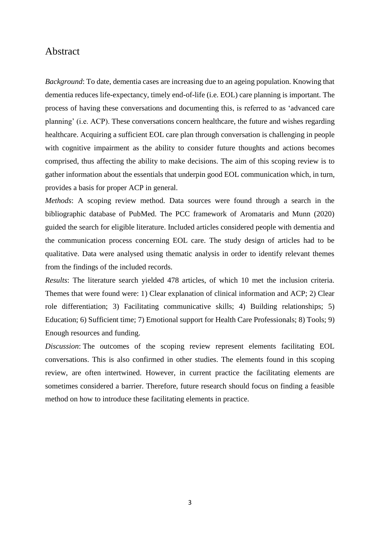## <span id="page-2-0"></span>Abstract

*Background*: To date, dementia cases are increasing due to an ageing population. Knowing that dementia reduces life-expectancy, timely end-of-life (i.e. EOL) care planning is important. The process of having these conversations and documenting this, is referred to as 'advanced care planning' (i.e. ACP). These conversations concern healthcare, the future and wishes regarding healthcare. Acquiring a sufficient EOL care plan through conversation is challenging in people with cognitive impairment as the ability to consider future thoughts and actions becomes comprised, thus affecting the ability to make decisions. The aim of this scoping review is to gather information about the essentials that underpin good EOL communication which, in turn, provides a basis for proper ACP in general.

*Methods*: A scoping review method. Data sources were found through a search in the bibliographic database of PubMed. The PCC framework of Aromataris and Munn (2020) guided the search for eligible literature. Included articles considered people with dementia and the communication process concerning EOL care. The study design of articles had to be qualitative. Data were analysed using thematic analysis in order to identify relevant themes from the findings of the included records.

*Results*: The literature search yielded 478 articles, of which 10 met the inclusion criteria. Themes that were found were: 1) Clear explanation of clinical information and ACP; 2) Clear role differentiation; 3) Facilitating communicative skills; 4) Building relationships; 5) Education; 6) Sufficient time; 7) Emotional support for Health Care Professionals; 8) Tools; 9) Enough resources and funding.

*Discussion*: The outcomes of the scoping review represent elements facilitating EOL conversations. This is also confirmed in other studies. The elements found in this scoping review, are often intertwined. However, in current practice the facilitating elements are sometimes considered a barrier. Therefore, future research should focus on finding a feasible method on how to introduce these facilitating elements in practice.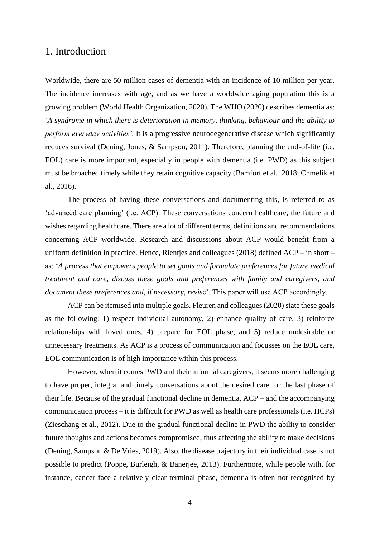## <span id="page-3-0"></span>1. Introduction

Worldwide, there are 50 million cases of dementia with an incidence of 10 million per year. The incidence increases with age, and as we have a worldwide aging population this is a growing problem (World Health Organization, 2020). The WHO (2020) describes dementia as: '*A syndrome in which there is deterioration in memory, thinking, behaviour and the ability to perform everyday activities'*. It is a progressive neurodegenerative disease which significantly reduces survival (Dening, Jones, & Sampson, 2011). Therefore, planning the end-of-life (i.e. EOL) care is more important, especially in people with dementia (i.e. PWD) as this subject must be broached timely while they retain cognitive capacity (Bamfort et al., 2018; Chmelik et al., 2016).

The process of having these conversations and documenting this, is referred to as 'advanced care planning' (i.e. ACP). These conversations concern healthcare, the future and wishes regarding healthcare. There are a lot of different terms, definitions and recommendations concerning ACP worldwide. Research and discussions about ACP would benefit from a uniform definition in practice. Hence, Rientjes and colleagues (2018) defined ACP – in short – as: '*A process that empowers people to set goals and formulate preferences for future medical treatment and care, discuss these goals and preferences with family and caregivers, and document these preferences and, if necessary, revis*e'. This paper will use ACP accordingly.

ACP can be itemised into multiple goals. Fleuren and colleagues (2020) state these goals as the following: 1) respect individual autonomy, 2) enhance quality of care, 3) reinforce relationships with loved ones, 4) prepare for EOL phase, and 5) reduce undesirable or unnecessary treatments. As ACP is a process of communication and focusses on the EOL care, EOL communication is of high importance within this process.

However, when it comes PWD and their informal caregivers, it seems more challenging to have proper, integral and timely conversations about the desired care for the last phase of their life. Because of the gradual functional decline in dementia, ACP – and the accompanying communication process – it is difficult for PWD as well as health care professionals (i.e. HCPs) (Zieschang et al., 2012). Due to the gradual functional decline in PWD the ability to consider future thoughts and actions becomes compromised, thus affecting the ability to make decisions (Dening, Sampson & De Vries, 2019). Also, the disease trajectory in their individual case is not possible to predict (Poppe, Burleigh, & Banerjee, 2013). Furthermore, while people with, for instance, cancer face a relatively clear terminal phase, dementia is often not recognised by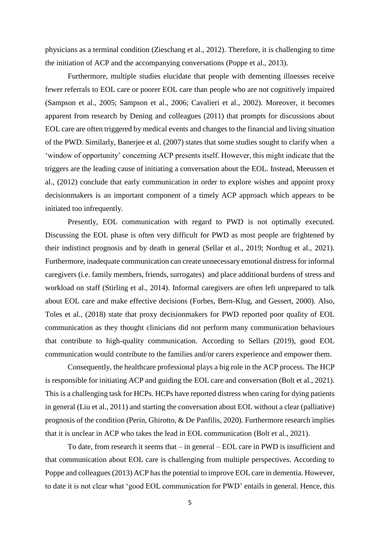physicians as a terminal condition (Zieschang et al., 2012). Therefore, it is challenging to time the initiation of ACP and the accompanying conversations (Poppe et al., 2013).

Furthermore, multiple studies elucidate that people with dementing illnesses receive fewer referrals to EOL care or poorer EOL care than people who are not cognitively impaired (Sampson et al., 2005; Sampson et al., 2006; Cavalieri et al., 2002). Moreover, it becomes apparent from research by Dening and colleagues (2011) that prompts for discussions about EOL care are often triggered by medical events and changes to the financial and living situation of the PWD. Similarly, Banerjee et al. (2007) states that some studies sought to clarify when a 'window of opportunity' concerning ACP presents itself. However, this might indicate that the triggers are the leading cause of initiating a conversation about the EOL. Instead, Meeussen et al., (2012) conclude that early communication in order to explore wishes and appoint proxy decisionmakers is an important component of a timely ACP approach which appears to be initiated too infrequently.

Presently, EOL communication with regard to PWD is not optimally executed. Discussing the EOL phase is often very difficult for PWD as most people are frightened by their indistinct prognosis and by death in general (Sellar et al., 2019; Nordtug et al., 2021). Furthermore, inadequate communication can create unnecessary emotional distress for informal caregivers (i.e. family members, friends, surrogates) and place additional burdens of stress and workload on staff (Stirling et al., 2014). Informal caregivers are often left unprepared to talk about EOL care and make effective decisions (Forbes, Bern-Klug, and Gessert, 2000). Also, Toles et al., (2018) state that proxy decisionmakers for PWD reported poor quality of EOL communication as they thought clinicians did not perform many communication behaviours that contribute to high-quality communication. According to Sellars (2019), good EOL communication would contribute to the families and/or carers experience and empower them.

Consequently, the healthcare professional plays a big role in the ACP process. The HCP is responsible for initiating ACP and guiding the EOL care and conversation (Bolt et al., 2021). This is a challenging task for HCPs. HCPs have reported distress when caring for dying patients in general (Liu et al., 2011) and starting the conversation about EOL without a clear (palliative) prognosis of the condition (Perin, Ghirotto, & De Panfilis, 2020). Furthermore research implies that it is unclear in ACP who takes the lead in EOL communication (Bolt et al., 2021).

To date, from research it seems that – in general – EOL care in PWD is insufficient and that communication about EOL care is challenging from multiple perspectives. According to Poppe and colleagues (2013) ACP has the potential to improve EOL care in dementia. However, to date it is not clear what 'good EOL communication for PWD' entails in general. Hence, this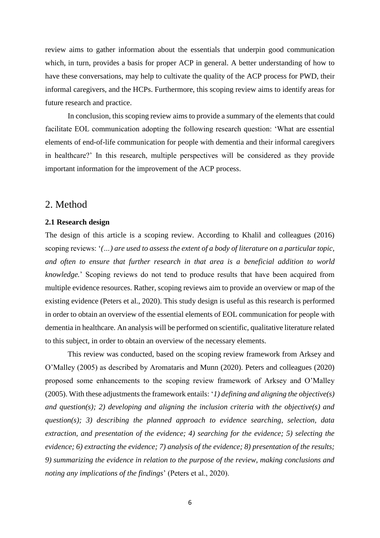review aims to gather information about the essentials that underpin good communication which, in turn, provides a basis for proper ACP in general. A better understanding of how to have these conversations, may help to cultivate the quality of the ACP process for PWD, their informal caregivers, and the HCPs. Furthermore, this scoping review aims to identify areas for future research and practice.

In conclusion, this scoping review aims to provide a summary of the elements that could facilitate EOL communication adopting the following research question: 'What are essential elements of end-of-life communication for people with dementia and their informal caregivers in healthcare?' In this research, multiple perspectives will be considered as they provide important information for the improvement of the ACP process.

### <span id="page-5-0"></span>2. Method

#### <span id="page-5-1"></span>**2.1 Research design**

The design of this article is a scoping review. According to Khalil and colleagues (2016) scoping reviews: '*(…) are used to assess the extent of a body of literature on a particular topic, and often to ensure that further research in that area is a beneficial addition to world knowledge.*' Scoping reviews do not tend to produce results that have been acquired from multiple evidence resources. Rather, scoping reviews aim to provide an overview or map of the existing evidence (Peters et al., 2020). This study design is useful as this research is performed in order to obtain an overview of the essential elements of EOL communication for people with dementia in healthcare. An analysis will be performed on scientific, qualitative literature related to this subject, in order to obtain an overview of the necessary elements.

This review was conducted, based on the scoping review framework from Arksey and O'Malley (2005) as described by Aromataris and Munn (2020). Peters and colleagues (2020) proposed some enhancements to the scoping review framework of Arksey and O'Malley (2005). With these adjustments the framework entails: '*1) defining and aligning the objective(s) and question(s); 2) developing and aligning the inclusion criteria with the objective(s) and question(s); 3) describing the planned approach to evidence searching, selection, data extraction, and presentation of the evidence; 4) searching for the evidence; 5) selecting the evidence; 6) extracting the evidence; 7) analysis of the evidence; 8) presentation of the results; 9) summarizing the evidence in relation to the purpose of the review, making conclusions and noting any implications of the findings*' (Peters et al., 2020).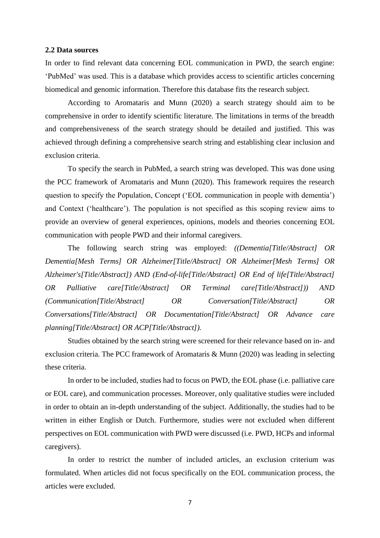#### <span id="page-6-0"></span>**2.2 Data sources**

In order to find relevant data concerning EOL communication in PWD, the search engine: 'PubMed' was used. This is a database which provides access to scientific articles concerning biomedical and genomic information. Therefore this database fits the research subject.

According to Aromataris and Munn (2020) a search strategy should aim to be comprehensive in order to identify scientific literature. The limitations in terms of the breadth and comprehensiveness of the search strategy should be detailed and justified. This was achieved through defining a comprehensive search string and establishing clear inclusion and exclusion criteria.

To specify the search in PubMed, a search string was developed. This was done using the PCC framework of Aromataris and Munn (2020). This framework requires the research question to specify the Population, Concept ('EOL communication in people with dementia') and Context ('healthcare'). The population is not specified as this scoping review aims to provide an overview of general experiences, opinions, models and theories concerning EOL communication with people PWD and their informal caregivers.

The following search string was employed: *((Dementia[Title/Abstract] OR Dementia[Mesh Terms] OR Alzheimer[Title/Abstract] OR Alzheimer[Mesh Terms] OR Alzheimer's[Title/Abstract]) AND (End-of-life[Title/Abstract] OR End of life[Title/Abstract] OR Palliative care[Title/Abstract] OR Terminal care[Title/Abstract])) AND (Communication[Title/Abstract] OR Conversation[Title/Abstract] OR Conversations[Title/Abstract] OR Documentation[Title/Abstract] OR Advance care planning[Title/Abstract] OR ACP[Title/Abstract]).* 

Studies obtained by the search string were screened for their relevance based on in- and exclusion criteria. The PCC framework of Aromataris & Munn (2020) was leading in selecting these criteria.

In order to be included, studies had to focus on PWD, the EOL phase (i.e. palliative care or EOL care), and communication processes. Moreover, only qualitative studies were included in order to obtain an in-depth understanding of the subject. Additionally, the studies had to be written in either English or Dutch. Furthermore, studies were not excluded when different perspectives on EOL communication with PWD were discussed (i.e. PWD, HCPs and informal caregivers).

In order to restrict the number of included articles, an exclusion criterium was formulated. When articles did not focus specifically on the EOL communication process, the articles were excluded.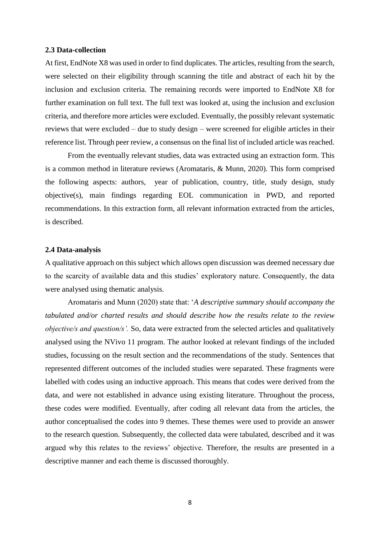#### <span id="page-7-0"></span>**2.3 Data-collection**

At first, EndNote X8 was used in order to find duplicates. The articles, resulting from the search, were selected on their eligibility through scanning the title and abstract of each hit by the inclusion and exclusion criteria. The remaining records were imported to EndNote X8 for further examination on full text. The full text was looked at, using the inclusion and exclusion criteria, and therefore more articles were excluded. Eventually, the possibly relevant systematic reviews that were excluded – due to study design – were screened for eligible articles in their reference list. Through peer review, a consensus on the final list of included article was reached.

From the eventually relevant studies, data was extracted using an extraction form. This is a common method in literature reviews (Aromataris, & Munn, 2020). This form comprised the following aspects: authors, year of publication, country, title, study design, study objective(s), main findings regarding EOL communication in PWD, and reported recommendations. In this extraction form, all relevant information extracted from the articles, is described.

#### <span id="page-7-1"></span>**2.4 Data-analysis**

A qualitative approach on this subject which allows open discussion was deemed necessary due to the scarcity of available data and this studies' exploratory nature. Consequently, the data were analysed using thematic analysis.

Aromataris and Munn (2020) state that: '*A descriptive summary should accompany the tabulated and/or charted results and should describe how the results relate to the review objective/s and question/s'.* So, data were extracted from the selected articles and qualitatively analysed using the NVivo 11 program. The author looked at relevant findings of the included studies, focussing on the result section and the recommendations of the study. Sentences that represented different outcomes of the included studies were separated. These fragments were labelled with codes using an inductive approach. This means that codes were derived from the data, and were not established in advance using existing literature. Throughout the process, these codes were modified. Eventually, after coding all relevant data from the articles, the author conceptualised the codes into 9 themes. These themes were used to provide an answer to the research question. Subsequently, the collected data were tabulated, described and it was argued why this relates to the reviews' objective. Therefore, the results are presented in a descriptive manner and each theme is discussed thoroughly.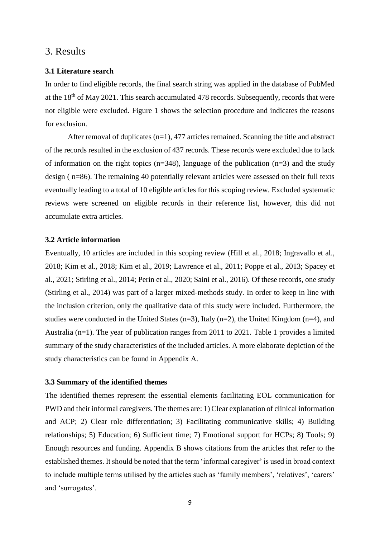## <span id="page-8-0"></span>3. Results

#### <span id="page-8-1"></span>**3.1 Literature search**

In order to find eligible records, the final search string was applied in the database of PubMed at the 18<sup>th</sup> of May 2021. This search accumulated 478 records. Subsequently, records that were not eligible were excluded. Figure 1 shows the selection procedure and indicates the reasons for exclusion.

After removal of duplicates  $(n=1)$ , 477 articles remained. Scanning the title and abstract of the records resulted in the exclusion of 437 records. These records were excluded due to lack of information on the right topics ( $n=348$ ), language of the publication ( $n=3$ ) and the study design ( n=86). The remaining 40 potentially relevant articles were assessed on their full texts eventually leading to a total of 10 eligible articles for this scoping review. Excluded systematic reviews were screened on eligible records in their reference list, however, this did not accumulate extra articles.

#### <span id="page-8-2"></span>**3.2 Article information**

Eventually, 10 articles are included in this scoping review (Hill et al., 2018; Ingravallo et al., 2018; Kim et al., 2018; Kim et al., 2019; Lawrence et al., 2011; Poppe et al., 2013; Spacey et al., 2021; Stirling et al., 2014; Perin et al., 2020; Saini et al., 2016). Of these records, one study (Stirling et al., 2014) was part of a larger mixed-methods study. In order to keep in line with the inclusion criterion, only the qualitative data of this study were included. Furthermore, the studies were conducted in the United States (n=3), Italy (n=2), the United Kingdom (n=4), and Australia (n=1). The year of publication ranges from 2011 to 2021. Table 1 provides a limited summary of the study characteristics of the included articles. A more elaborate depiction of the study characteristics can be found in Appendix A.

#### <span id="page-8-3"></span>**3.3 Summary of the identified themes**

The identified themes represent the essential elements facilitating EOL communication for PWD and their informal caregivers. The themes are: 1) Clear explanation of clinical information and ACP; 2) Clear role differentiation; 3) Facilitating communicative skills; 4) Building relationships; 5) Education; 6) Sufficient time; 7) Emotional support for HCPs; 8) Tools; 9) Enough resources and funding. Appendix B shows citations from the articles that refer to the established themes. It should be noted that the term 'informal caregiver' is used in broad context to include multiple terms utilised by the articles such as 'family members', 'relatives', 'carers' and 'surrogates'.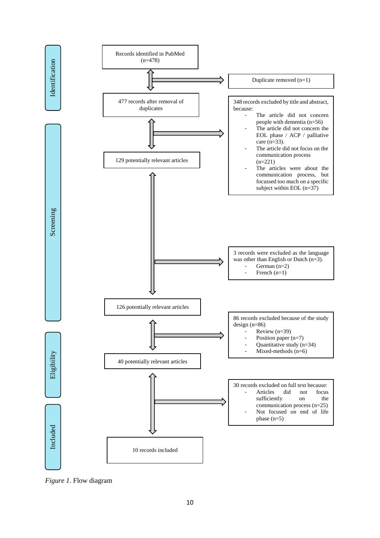

Figure 1. Flow diagram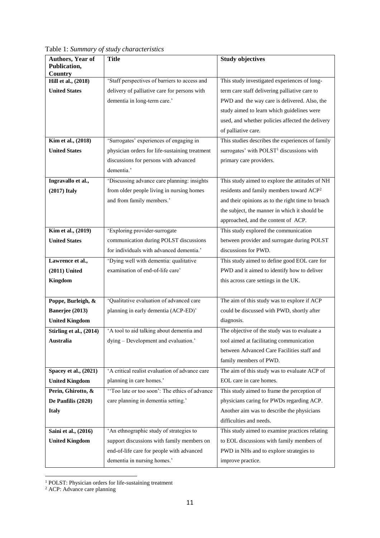**Publication, Country Hill et al., (2018) United States** 'Staff perspectives of barriers to access and delivery of palliative care for persons with dementia in long-term care.' This study investigated experiences of longterm care staff delivering palliative care to PWD and the way care is delivered. Also, the study aimed to learn which guidelines were used, and whether policies affected the delivery of palliative care. **Kim et al., (2018) United States** 'Surrogates' experiences of engaging in physician orders for life-sustaining treatment discussions for persons with advanced dementia.' This studies describes the experiences of family surrogates' with  $POLST<sup>1</sup>$  discussions with primary care providers. **Ingravallo et al., (2017) Italy** 'Discussing advance care planning: insights from older people living in nursing homes and from family members.' This study aimed to explore the attitudes of NH residents and family members toward ACP<sup>2</sup> and their opinions as to the right time to broach the subject, the manner in which it should be approached, and the content of ACP. **Kim et al., (2019) United States** 'Exploring provider-surrogate communication during POLST discussions for individuals with advanced dementia.' This study explored the communication between provider and surrogate during POLST discussions for PWD. **Lawrence et al., (2011) United Kingdom** 'Dying well with dementia: qualitative examination of end-of-life care' This study aimed to define good EOL care for PWD and it aimed to identify how to deliver this across care settings in the UK. **Poppe, Burleigh, & Banerjee (2013) United Kingdom** 'Qualitative evaluation of advanced care planning in early dementia (ACP-ED)' The aim of this study was to explore if ACP could be discussed with PWD, shortly after diagnosis. **Stirling et al., (2014) Australia** 'A tool to aid talking about dementia and dying – Development and evaluation.' The objective of the study was to evaluate a tool aimed at facilitating communication between Advanced Care Facilities staff and family members of PWD. **Spacey et al., (2021) United Kingdom** 'A critical realist evaluation of advance care planning in care homes.' The aim of this study was to evaluate ACP of EOL care in care homes. **Perin, Ghirotto, & De Panfilis (2020) Italy**  ''Too late or too soon': The ethics of advance care planning in dementia setting.' This study aimed to frame the perception of physicians caring for PWDs regarding ACP. Another aim was to describe the physicians difficulties and needs. **Saini et al., (2016)**  'An ethnographic study of strategies to This study aimed to examine practices relating

**Title Study objectives** 

Table 1: *Summary of study characteristics*

**Authors, Year of** 

**United Kingdom** 

to EOL discussions with family members of PWD in NHs and to explore strategies to

improve practice.

support discussions with family members on end-of-life care for people with advanced

dementia in nursing homes.'

 $\overline{a}$ <sup>1</sup> POLST: Physician orders for life-sustaining treatment

<sup>2</sup> ACP: Advance care planning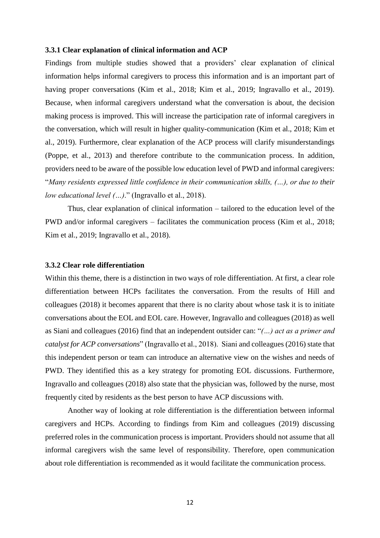#### <span id="page-11-0"></span>**3.3.1 Clear explanation of clinical information and ACP**

Findings from multiple studies showed that a providers' clear explanation of clinical information helps informal caregivers to process this information and is an important part of having proper conversations (Kim et al., 2018; Kim et al., 2019; Ingravallo et al., 2019). Because, when informal caregivers understand what the conversation is about, the decision making process is improved. This will increase the participation rate of informal caregivers in the conversation, which will result in higher quality-communication (Kim et al., 2018; Kim et al., 2019). Furthermore, clear explanation of the ACP process will clarify misunderstandings (Poppe, et al., 2013) and therefore contribute to the communication process. In addition, providers need to be aware of the possible low education level of PWD and informal caregivers: "*Many residents expressed little confidence in their communication skills, (…), or due to their low educational level (…)*." (Ingravallo et al., 2018).

Thus, clear explanation of clinical information – tailored to the education level of the PWD and/or informal caregivers – facilitates the communication process (Kim et al., 2018; Kim et al., 2019; Ingravallo et al., 2018).

#### <span id="page-11-1"></span>**3.3.2 Clear role differentiation**

Within this theme, there is a distinction in two ways of role differentiation. At first, a clear role differentiation between HCPs facilitates the conversation. From the results of Hill and colleagues (2018) it becomes apparent that there is no clarity about whose task it is to initiate conversations about the EOL and EOL care. However, Ingravallo and colleagues (2018) as well as Siani and colleagues (2016) find that an independent outsider can: "*(…) act as a primer and catalyst for ACP conversations*" (Ingravallo et al., 2018). Siani and colleagues (2016) state that this independent person or team can introduce an alternative view on the wishes and needs of PWD. They identified this as a key strategy for promoting EOL discussions. Furthermore, Ingravallo and colleagues (2018) also state that the physician was, followed by the nurse, most frequently cited by residents as the best person to have ACP discussions with.

Another way of looking at role differentiation is the differentiation between informal caregivers and HCPs. According to findings from Kim and colleagues (2019) discussing preferred roles in the communication process is important. Providers should not assume that all informal caregivers wish the same level of responsibility. Therefore, open communication about role differentiation is recommended as it would facilitate the communication process.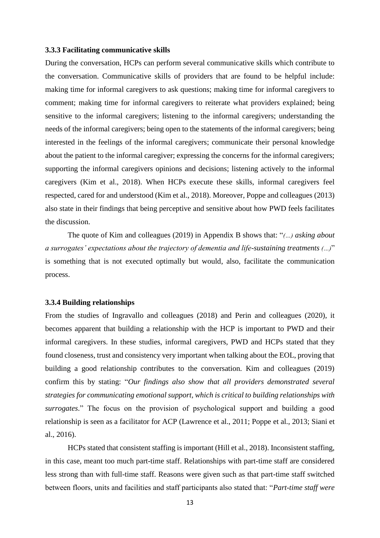#### <span id="page-12-0"></span>**3.3.3 Facilitating communicative skills**

During the conversation, HCPs can perform several communicative skills which contribute to the conversation. Communicative skills of providers that are found to be helpful include: making time for informal caregivers to ask questions; making time for informal caregivers to comment; making time for informal caregivers to reiterate what providers explained; being sensitive to the informal caregivers; listening to the informal caregivers; understanding the needs of the informal caregivers; being open to the statements of the informal caregivers; being interested in the feelings of the informal caregivers; communicate their personal knowledge about the patient to the informal caregiver; expressing the concerns for the informal caregivers; supporting the informal caregivers opinions and decisions; listening actively to the informal caregivers (Kim et al., 2018). When HCPs execute these skills, informal caregivers feel respected, cared for and understood (Kim et al., 2018). Moreover, Poppe and colleagues (2013) also state in their findings that being perceptive and sensitive about how PWD feels facilitates the discussion.

The quote of Kim and colleagues (2019) in Appendix B shows that: "*(…) asking about a surrogates' expectations about the trajectory of dementia and life-sustaining treatments (…)*" is something that is not executed optimally but would, also, facilitate the communication process.

#### <span id="page-12-1"></span>**3.3.4 Building relationships**

From the studies of Ingravallo and colleagues (2018) and Perin and colleagues (2020), it becomes apparent that building a relationship with the HCP is important to PWD and their informal caregivers. In these studies, informal caregivers, PWD and HCPs stated that they found closeness, trust and consistency very important when talking about the EOL, proving that building a good relationship contributes to the conversation. Kim and colleagues (2019) confirm this by stating: "*Our findings also show that all providers demonstrated several strategies for communicating emotional support, which is critical to building relationships with surrogates*." The focus on the provision of psychological support and building a good relationship is seen as a facilitator for ACP (Lawrence et al., 2011; Poppe et al., 2013; Siani et al., 2016).

HCPs stated that consistent staffing is important (Hill et al., 2018). Inconsistent staffing, in this case, meant too much part-time staff. Relationships with part-time staff are considered less strong than with full-time staff. Reasons were given such as that part-time staff switched between floors, units and facilities and staff participants also stated that: "*Part-time staff were*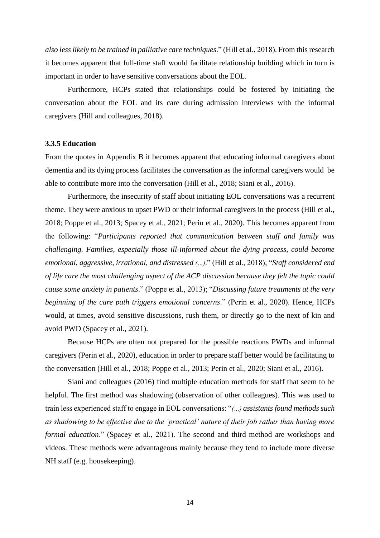*also less likely to be trained in palliative care techniques*." (Hill et al., 2018). From this research it becomes apparent that full-time staff would facilitate relationship building which in turn is important in order to have sensitive conversations about the EOL.

Furthermore, HCPs stated that relationships could be fostered by initiating the conversation about the EOL and its care during admission interviews with the informal caregivers (Hill and colleagues, 2018).

#### <span id="page-13-0"></span>**3.3.5 Education**

From the quotes in Appendix B it becomes apparent that educating informal caregivers about dementia and its dying process facilitates the conversation as the informal caregivers would be able to contribute more into the conversation (Hill et al., 2018; Siani et al., 2016).

Furthermore, the insecurity of staff about initiating EOL conversations was a recurrent theme. They were anxious to upset PWD or their informal caregivers in the process (Hill et al., 2018; Poppe et al., 2013; Spacey et al., 2021; Perin et al., 2020). This becomes apparent from the following: "*Participants reported that communication between staff and family was challenging. Families, especially those ill-informed about the dying process, could become emotional, aggressive, irrational, and distressed (…)*." (Hill et al., 2018); "*Staff considered end of life care the most challenging aspect of the ACP discussion because they felt the topic could cause some anxiety in patients*." (Poppe et al., 2013); "*Discussing future treatments at the very beginning of the care path triggers emotional concerns*." (Perin et al., 2020). Hence, HCPs would, at times, avoid sensitive discussions, rush them, or directly go to the next of kin and avoid PWD (Spacey et al., 2021).

Because HCPs are often not prepared for the possible reactions PWDs and informal caregivers (Perin et al., 2020), education in order to prepare staff better would be facilitating to the conversation (Hill et al., 2018; Poppe et al., 2013; Perin et al., 2020; Siani et al., 2016).

Siani and colleagues (2016) find multiple education methods for staff that seem to be helpful. The first method was shadowing (observation of other colleagues). This was used to train less experienced staff to engage in EOL conversations: "*(…) assistants found methods such as shadowing to be effective due to the 'practical' nature of their job rather than having more formal education*." (Spacey et al., 2021). The second and third method are workshops and videos. These methods were advantageous mainly because they tend to include more diverse NH staff (e.g. housekeeping).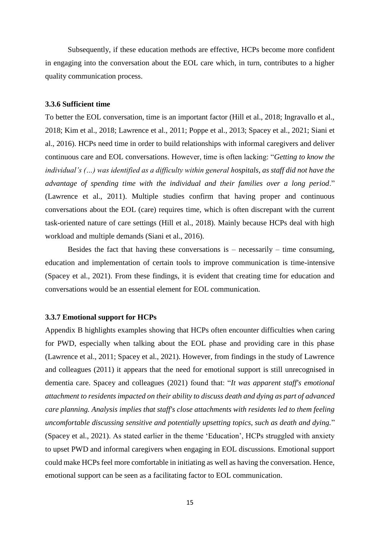Subsequently, if these education methods are effective, HCPs become more confident in engaging into the conversation about the EOL care which, in turn, contributes to a higher quality communication process.

#### <span id="page-14-0"></span>**3.3.6 Sufficient time**

To better the EOL conversation, time is an important factor (Hill et al., 2018; Ingravallo et al., 2018; Kim et al., 2018; Lawrence et al., 2011; Poppe et al., 2013; Spacey et al., 2021; Siani et al., 2016). HCPs need time in order to build relationships with informal caregivers and deliver continuous care and EOL conversations. However, time is often lacking: "*Getting to know the individual's (…) was identified as a difficulty within general hospitals, as staff did not have the advantage of spending time with the individual and their families over a long period*." (Lawrence et al., 2011). Multiple studies confirm that having proper and continuous conversations about the EOL (care) requires time, which is often discrepant with the current task-oriented nature of care settings (Hill et al., 2018). Mainly because HCPs deal with high workload and multiple demands (Siani et al., 2016).

Besides the fact that having these conversations is  $-$  necessarily  $-$  time consuming, education and implementation of certain tools to improve communication is time-intensive (Spacey et al., 2021). From these findings, it is evident that creating time for education and conversations would be an essential element for EOL communication.

#### <span id="page-14-1"></span>**3.3.7 Emotional support for HCPs**

Appendix B highlights examples showing that HCPs often encounter difficulties when caring for PWD, especially when talking about the EOL phase and providing care in this phase (Lawrence et al., 2011; Spacey et al., 2021). However, from findings in the study of Lawrence and colleagues (2011) it appears that the need for emotional support is still unrecognised in dementia care. Spacey and colleagues (2021) found that: "*It was apparent staff's emotional attachment to residents impacted on their ability to discuss death and dying as part of advanced care planning. Analysis implies that staff's close attachments with residents led to them feeling uncomfortable discussing sensitive and potentially upsetting topics, such as death and dying.*" (Spacey et al., 2021). As stated earlier in the theme 'Education', HCPs struggled with anxiety to upset PWD and informal caregivers when engaging in EOL discussions. Emotional support could make HCPs feel more comfortable in initiating as well as having the conversation. Hence, emotional support can be seen as a facilitating factor to EOL communication.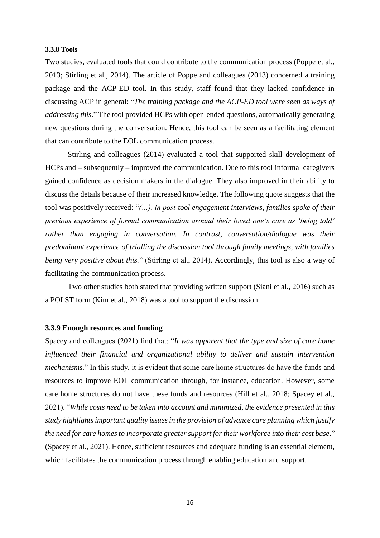#### **3.3.8 Tools**

Two studies, evaluated tools that could contribute to the communication process (Poppe et al., 2013; Stirling et al., 2014). The article of Poppe and colleagues (2013) concerned a training package and the ACP-ED tool. In this study, staff found that they lacked confidence in discussing ACP in general: "*The training package and the ACP-ED tool were seen as ways of addressing this*." The tool provided HCPs with open-ended questions, automatically generating new questions during the conversation. Hence, this tool can be seen as a facilitating element that can contribute to the EOL communication process.

Stirling and colleagues (2014) evaluated a tool that supported skill development of HCPs and – subsequently – improved the communication. Due to this tool informal caregivers gained confidence as decision makers in the dialogue. They also improved in their ability to discuss the details because of their increased knowledge. The following quote suggests that the tool was positively received: "*(…), in post-tool engagement interviews, families spoke of their previous experience of formal communication around their loved one's care as 'being told' rather than engaging in conversation. In contrast, conversation/dialogue was their predominant experience of trialling the discussion tool through family meetings, with families being very positive about this.*" (Stirling et al., 2014). Accordingly, this tool is also a way of facilitating the communication process.

Two other studies both stated that providing written support (Siani et al., 2016) such as a POLST form (Kim et al., 2018) was a tool to support the discussion.

#### <span id="page-15-0"></span>**3.3.9 Enough resources and funding**

Spacey and colleagues (2021) find that: "*It was apparent that the type and size of care home influenced their financial and organizational ability to deliver and sustain intervention mechanisms.*" In this study, it is evident that some care home structures do have the funds and resources to improve EOL communication through, for instance, education. However, some care home structures do not have these funds and resources (Hill et al., 2018; Spacey et al., 2021). "*While costs need to be taken into account and minimized, the evidence presented in this study highlights important quality issues in the provision of advance care planning which justify the need for care homes to incorporate greater support for their workforce into their cost base*." (Spacey et al., 2021). Hence, sufficient resources and adequate funding is an essential element, which facilitates the communication process through enabling education and support.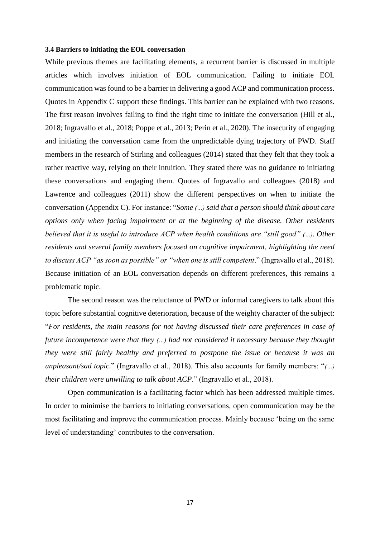#### **3.4 Barriers to initiating the EOL conversation**

While previous themes are facilitating elements, a recurrent barrier is discussed in multiple articles which involves initiation of EOL communication. Failing to initiate EOL communication was found to be a barrier in delivering a good ACP and communication process. Quotes in Appendix C support these findings. This barrier can be explained with two reasons. The first reason involves failing to find the right time to initiate the conversation (Hill et al., 2018; Ingravallo et al., 2018; Poppe et al., 2013; Perin et al., 2020). The insecurity of engaging and initiating the conversation came from the unpredictable dying trajectory of PWD. Staff members in the research of Stirling and colleagues (2014) stated that they felt that they took a rather reactive way, relying on their intuition. They stated there was no guidance to initiating these conversations and engaging them. Quotes of Ingravallo and colleagues (2018) and Lawrence and colleagues (2011) show the different perspectives on when to initiate the conversation (Appendix C). For instance: "*Some (…) said that a person should think about care options only when facing impairment or at the beginning of the disease. Other residents believed that it is useful to introduce ACP when health conditions are "still good" (…). Other residents and several family members focused on cognitive impairment, highlighting the need to discuss ACP "as soon as possible" or "when one is still competent*." (Ingravallo et al., 2018). Because initiation of an EOL conversation depends on different preferences, this remains a problematic topic.

The second reason was the reluctance of PWD or informal caregivers to talk about this topic before substantial cognitive deterioration, because of the weighty character of the subject: "*For residents, the main reasons for not having discussed their care preferences in case of future incompetence were that they (…) had not considered it necessary because they thought they were still fairly healthy and preferred to postpone the issue or because it was an unpleasant/sad topic.*" (Ingravallo et al., 2018). This also accounts for family members: "*(…) their children were unwilling to talk about ACP*." (Ingravallo et al., 2018).

Open communication is a facilitating factor which has been addressed multiple times. In order to minimise the barriers to initiating conversations, open communication may be the most facilitating and improve the communication process. Mainly because 'being on the same level of understanding' contributes to the conversation.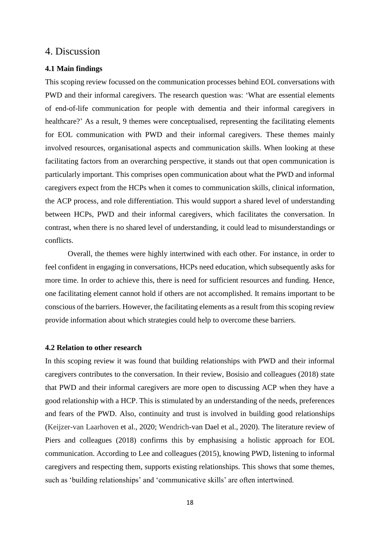## <span id="page-17-0"></span>4. Discussion

#### <span id="page-17-1"></span>**4.1 Main findings**

This scoping review focussed on the communication processes behind EOL conversations with PWD and their informal caregivers. The research question was: 'What are essential elements of end-of-life communication for people with dementia and their informal caregivers in healthcare?' As a result, 9 themes were conceptualised, representing the facilitating elements for EOL communication with PWD and their informal caregivers. These themes mainly involved resources, organisational aspects and communication skills. When looking at these facilitating factors from an overarching perspective, it stands out that open communication is particularly important. This comprises open communication about what the PWD and informal caregivers expect from the HCPs when it comes to communication skills, clinical information, the ACP process, and role differentiation. This would support a shared level of understanding between HCPs, PWD and their informal caregivers, which facilitates the conversation. In contrast, when there is no shared level of understanding, it could lead to misunderstandings or conflicts.

Overall, the themes were highly intertwined with each other. For instance, in order to feel confident in engaging in conversations, HCPs need education, which subsequently asks for more time. In order to achieve this, there is need for sufficient resources and funding. Hence, one facilitating element cannot hold if others are not accomplished. It remains important to be conscious of the barriers. However, the facilitating elements as a result from this scoping review provide information about which strategies could help to overcome these barriers.

#### <span id="page-17-2"></span>**4.2 Relation to other research**

In this scoping review it was found that building relationships with PWD and their informal caregivers contributes to the conversation. In their review, Bosisio and colleagues (2018) state that PWD and their informal caregivers are more open to discussing ACP when they have a good relationship with a HCP. This is stimulated by an understanding of the needs, preferences and fears of the PWD. Also, continuity and trust is involved in building good relationships (Keijzer-van Laarhoven et al., 2020; Wendrich-van Dael et al., 2020). The literature review of Piers and colleagues (2018) confirms this by emphasising a holistic approach for EOL communication. According to Lee and colleagues (2015), knowing PWD, listening to informal caregivers and respecting them, supports existing relationships. This shows that some themes, such as 'building relationships' and 'communicative skills' are often intertwined.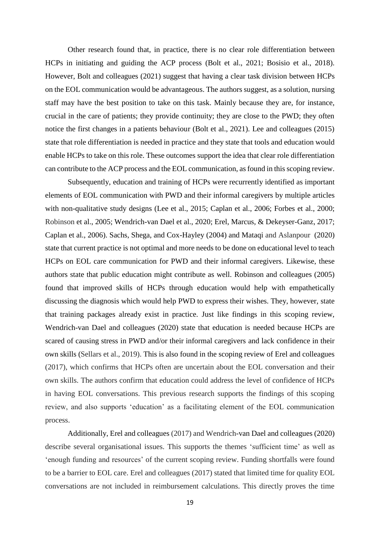Other research found that, in practice, there is no clear role differentiation between HCPs in initiating and guiding the ACP process (Bolt et al., 2021; Bosisio et al., 2018). However, Bolt and colleagues (2021) suggest that having a clear task division between HCPs on the EOL communication would be advantageous. The authors suggest, as a solution, nursing staff may have the best position to take on this task. Mainly because they are, for instance, crucial in the care of patients; they provide continuity; they are close to the PWD; they often notice the first changes in a patients behaviour (Bolt et al., 2021). Lee and colleagues (2015) state that role differentiation is needed in practice and they state that tools and education would enable HCPs to take on this role. These outcomes support the idea that clear role differentiation can contribute to the ACP process and the EOL communication, as found in this scoping review.

Subsequently, education and training of HCPs were recurrently identified as important elements of EOL communication with PWD and their informal caregivers by multiple articles with non-qualitative study designs (Lee et al., 2015; Caplan et al., 2006; Forbes et al., 2000; Robinson et al., 2005; Wendrich-van Dael et al., 2020; Erel, Marcus, & Dekeyser-Ganz, 2017; Caplan et al., 2006). Sachs, Shega, and Cox-Hayley (2004) and Mataqi and Aslanpour (2020) state that current practice is not optimal and more needs to be done on educational level to teach HCPs on EOL care communication for PWD and their informal caregivers. Likewise, these authors state that public education might contribute as well. Robinson and colleagues (2005) found that improved skills of HCPs through education would help with empathetically discussing the diagnosis which would help PWD to express their wishes. They, however, state that training packages already exist in practice. Just like findings in this scoping review, Wendrich-van Dael and colleagues (2020) state that education is needed because HCPs are scared of causing stress in PWD and/or their informal caregivers and lack confidence in their own skills (Sellars et al., 2019). This is also found in the scoping review of Erel and colleagues (2017), which confirms that HCPs often are uncertain about the EOL conversation and their own skills. The authors confirm that education could address the level of confidence of HCPs in having EOL conversations. This previous research supports the findings of this scoping review, and also supports 'education' as a facilitating element of the EOL communication process.

Additionally, Erel and colleagues (2017) and Wendrich-van Dael and colleagues (2020) describe several organisational issues. This supports the themes 'sufficient time' as well as 'enough funding and resources' of the current scoping review. Funding shortfalls were found to be a barrier to EOL care. Erel and colleagues (2017) stated that limited time for quality EOL conversations are not included in reimbursement calculations. This directly proves the time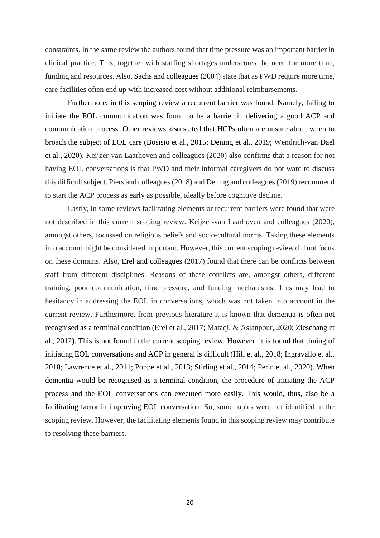constraints. In the same review the authors found that time pressure was an important barrier in clinical practice. This, together with staffing shortages underscores the need for more time, funding and resources. Also, Sachs and colleagues (2004) state that as PWD require more time, care facilities often end up with increased cost without additional reimbursements.

Furthermore, in this scoping review a recurrent barrier was found. Namely, failing to initiate the EOL communication was found to be a barrier in delivering a good ACP and communication process. Other reviews also stated that HCPs often are unsure about when to broach the subject of EOL care (Bosisio et al., 2015; Dening et al., 2019; Wendrich-van Dael et al., 2020). Keijzer-van Laarhoven and colleagues (2020) also confirms that a reason for not having EOL conversations is that PWD and their informal caregivers do not want to discuss this difficult subject. Piers and colleagues (2018) and Dening and colleagues (2019) recommend to start the ACP process as early as possible, ideally before cognitive decline.

Lastly, in some reviews facilitating elements or recurrent barriers were found that were not described in this current scoping review. Keijzer-van Laarhoven and colleagues (2020), amongst others, focussed on religious beliefs and socio-cultural norms. Taking these elements into account might be considered important. However, this current scoping review did not focus on these domains. Also, Erel and colleagues (2017) found that there can be conflicts between staff from different disciplines. Reasons of these conflicts are, amongst others, different training, poor communication, time pressure, and funding mechanisms. This may lead to hesitancy in addressing the EOL in conversations, which was not taken into account in the current review. Furthermore, from previous literature it is known that dementia is often not recognised as a terminal condition (Erel et al., 2017; Mataqi, & Aslanpour, 2020; Zieschang et al., 2012). This is not found in the current scoping review. However, it is found that timing of initiating EOL conversations and ACP in general is difficult (Hill et al., 2018; Ingravallo et al., 2018; Lawrence et al., 2011; Poppe et al., 2013; Stirling et al., 2014; Perin et al., 2020). When dementia would be recognised as a terminal condition, the procedure of initiating the ACP process and the EOL conversations can executed more easily. This would, thus, also be a facilitating factor in improving EOL conversation. So, some topics were not identified in the scoping review. However, the facilitating elements found in this scoping review may contribute to resolving these barriers.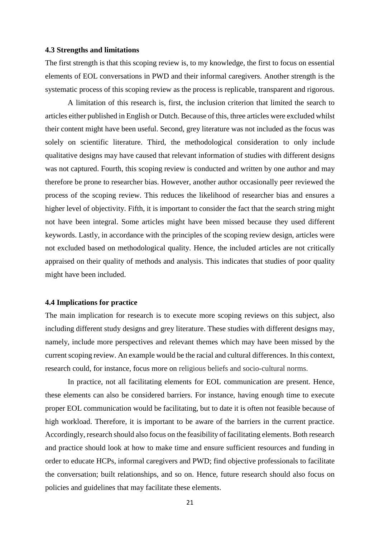#### <span id="page-20-0"></span>**4.3 Strengths and limitations**

The first strength is that this scoping review is, to my knowledge, the first to focus on essential elements of EOL conversations in PWD and their informal caregivers. Another strength is the systematic process of this scoping review as the process is replicable, transparent and rigorous.

A limitation of this research is, first, the inclusion criterion that limited the search to articles either published in English or Dutch. Because of this, three articles were excluded whilst their content might have been useful. Second, grey literature was not included as the focus was solely on scientific literature. Third, the methodological consideration to only include qualitative designs may have caused that relevant information of studies with different designs was not captured. Fourth, this scoping review is conducted and written by one author and may therefore be prone to researcher bias. However, another author occasionally peer reviewed the process of the scoping review. This reduces the likelihood of researcher bias and ensures a higher level of objectivity. Fifth, it is important to consider the fact that the search string might not have been integral. Some articles might have been missed because they used different keywords. Lastly, in accordance with the principles of the scoping review design, articles were not excluded based on methodological quality. Hence, the included articles are not critically appraised on their quality of methods and analysis. This indicates that studies of poor quality might have been included.

#### <span id="page-20-1"></span>**4.4 Implications for practice**

The main implication for research is to execute more scoping reviews on this subject, also including different study designs and grey literature. These studies with different designs may, namely, include more perspectives and relevant themes which may have been missed by the current scoping review. An example would be the racial and cultural differences. In this context, research could, for instance, focus more on religious beliefs and socio-cultural norms.

In practice, not all facilitating elements for EOL communication are present. Hence, these elements can also be considered barriers. For instance, having enough time to execute proper EOL communication would be facilitating, but to date it is often not feasible because of high workload. Therefore, it is important to be aware of the barriers in the current practice. Accordingly, research should also focus on the feasibility of facilitating elements. Both research and practice should look at how to make time and ensure sufficient resources and funding in order to educate HCPs, informal caregivers and PWD; find objective professionals to facilitate the conversation; built relationships, and so on. Hence, future research should also focus on policies and guidelines that may facilitate these elements.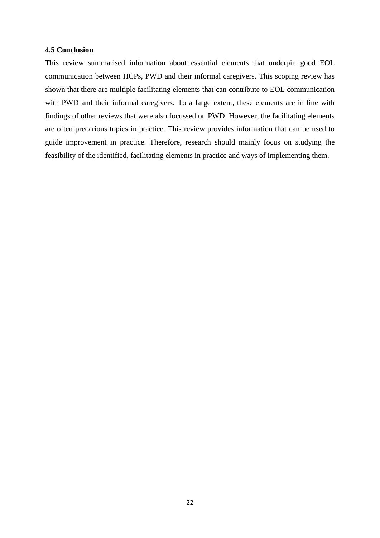#### <span id="page-21-0"></span>**4.5 Conclusion**

This review summarised information about essential elements that underpin good EOL communication between HCPs, PWD and their informal caregivers. This scoping review has shown that there are multiple facilitating elements that can contribute to EOL communication with PWD and their informal caregivers. To a large extent, these elements are in line with findings of other reviews that were also focussed on PWD. However, the facilitating elements are often precarious topics in practice. This review provides information that can be used to guide improvement in practice. Therefore, research should mainly focus on studying the feasibility of the identified, facilitating elements in practice and ways of implementing them.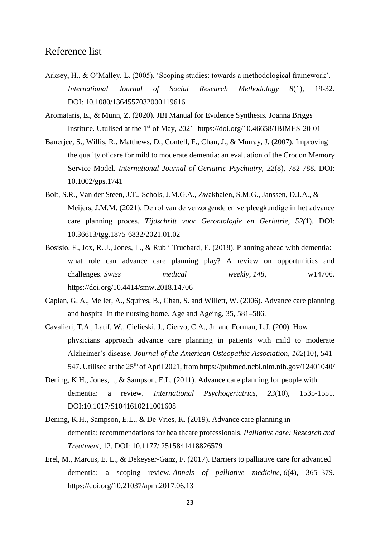## <span id="page-22-0"></span>Reference list

- Arksey, H., & O'Malley, L. (2005). 'Scoping studies: towards a methodological framework', *International Journal of Social Research Methodology 8*(1), 19-32. DOI: [10.1080/1364557032000119616](https://doi.org/10.1080/1364557032000119616)
- Aromataris, E., & Munn, Z. (2020)*.* JBI Manual for Evidence Synthesis*.* Joanna Briggs Institute. Utulised at the 1<sup>st</sup> of May, 2021 <https://doi.org/10.46658/JBIMES-20-01>
- Banerjee, S., Willis, R., Matthews, D., Contell, F., Chan, J., & Murray, J. (2007). Improving the quality of care for mild to moderate dementia: an evaluation of the Crodon Memory Service Model. *International Journal of Geriatric Psychiatry, 22*(8), 782-788. DOI: 10.1002/gps.1741
- Bolt, S.R., Van der Steen, J.T., Schols, J.M.G.A., Zwakhalen, S.M.G., Janssen, D.J.A., & Meijers, J.M.M. (2021). De rol van de verzorgende en verpleegkundige in het advance care planning proces. *Tijdschrift voor Gerontologie en Geriatrie*, *52(*1). DOI: 10.36613/tgg.1875-6832/2021.01.02
- Bosisio, F., Jox, R. J., Jones, L., & Rubli Truchard, E. (2018). Planning ahead with dementia: what role can advance care planning play? A review on opportunities and challenges. *Swiss medical weekly*, *148*, w14706. <https://doi.org/10.4414/smw.2018.14706>
- Caplan, G. A., Meller, A., Squires, B., Chan, S. and Willett, W. (2006). Advance care planning and hospital in the nursing home. Age and Ageing, 35, 581–586.
- Cavalieri, T.A., Latif, W., Cielieski, J., Ciervo, C.A., Jr. and Forman, L.J. (200). How physicians approach advance care planning in patients with mild to moderate Alzheimer's disease. *Journal of the American Osteopathic Association, 102*(10), 541 547. Utilised at the 25<sup>th</sup> of April 2021, from<https://pubmed.ncbi.nlm.nih.gov/12401040/>
- Dening, K.H., Jones, l., & Sampson, E.L. (2011). Advance care planning for people with dementia: a review. *International Psychogeriatrics, 23*(10), 1535-1551. DOI:10.1017/S1041610211001608
- Dening, K.H., Sampson, E.L., & De Vries, K. (2019). Advance care planning in dementia: recommendations for healthcare professionals. *Palliative care: Research and Treatment*, 12. DOI: 10.1177/ 2515841418826579
- Erel, M., Marcus, E. L., & Dekeyser-Ganz, F. (2017). Barriers to palliative care for advanced dementia: a scoping review. *Annals of palliative medicine*, *6*(4), 365–379. https://doi.org/10.21037/apm.2017.06.13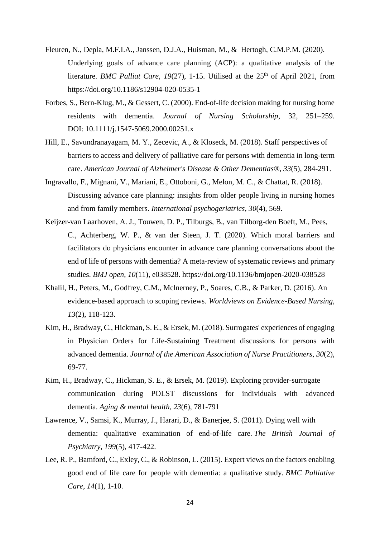- Fleuren, N., Depla, M.F.I.A., Janssen, D.J.A., Huisman, M., & Hertogh, C.M.P.M. (2020). Underlying goals of advance care planning (ACP): a qualitative analysis of the literature. *BMC Palliat Care, 19*(27), 1-15. Utilised at the 25<sup>th</sup> of April 2021, from <https://doi.org/10.1186/s12904-020-0535-1>
- Forbes, S., Bern-Klug, M., & Gessert, C. (2000). End-of-life decision making for nursing home residents with dementia. *Journal of Nursing Scholarship*, 32, 251–259. DOI: [10.1111/j.1547-5069.2000.00251.x](https://doi.org/10.1111/j.1547-5069.2000.00251.x)
- Hill, E., Savundranayagam, M. Y., Zecevic, A., & Kloseck, M. (2018). Staff perspectives of barriers to access and delivery of palliative care for persons with dementia in long-term care. *American Journal of Alzheimer's Disease & Other Dementias®*, *33*(5), 284-291.
- Ingravallo, F., Mignani, V., Mariani, E., Ottoboni, G., Melon, M. C., & Chattat, R. (2018). Discussing advance care planning: insights from older people living in nursing homes and from family members. *International psychogeriatrics*, *30*(4), 569.
- Keijzer-van Laarhoven, A. J., Touwen, D. P., Tilburgs, B., van Tilborg-den Boeft, M., Pees, C., Achterberg, W. P., & van der Steen, J. T. (2020). Which moral barriers and facilitators do physicians encounter in advance care planning conversations about the end of life of persons with dementia? A meta-review of systematic reviews and primary studies. *BMJ open*, *10*(11), e038528. https://doi.org/10.1136/bmjopen-2020-038528
- Khalil, H., Peters, M., Godfrey, C.M., Mclnerney, P., Soares, C.B., & Parker, D. (2016). An evidence-based approach to scoping reviews. *Worldviews on Evidence-Based Nursing, 13*(2), 118-123.
- Kim, H., Bradway, C., Hickman, S. E., & Ersek, M. (2018). Surrogates' experiences of engaging in Physician Orders for Life-Sustaining Treatment discussions for persons with advanced dementia. *Journal of the American Association of Nurse Practitioners*, *30*(2), 69-77.
- Kim, H., Bradway, C., Hickman, S. E., & Ersek, M. (2019). Exploring provider-surrogate communication during POLST discussions for individuals with advanced dementia. *Aging & mental health*, *23*(6), 781-791
- Lawrence, V., Samsi, K., Murray, J., Harari, D., & Banerjee, S. (2011). Dying well with dementia: qualitative examination of end-of-life care. *The British Journal of Psychiatry*, *199*(5), 417-422.
- Lee, R. P., Bamford, C., Exley, C., & Robinson, L. (2015). Expert views on the factors enabling good end of life care for people with dementia: a qualitative study. *BMC Palliative Care*, *14*(1), 1-10.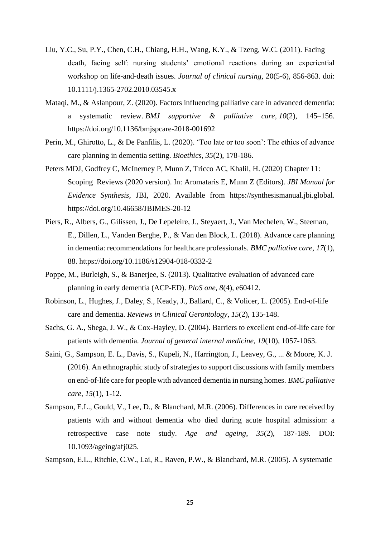- Liu, Y.C., Su, P.Y., Chen, C.H., Chiang, H.H., Wang, K.Y., & Tzeng, W.C. (2011). Facing death, facing self: nursing students' emotional reactions during an experiential workshop on life-and-death issues. *Journal of clinical nursing,* 20(5-6)*,* 856-863. doi: 10.1111/j.1365-2702.2010.03545.x
- Mataqi, M., & Aslanpour, Z. (2020). Factors influencing palliative care in advanced dementia: a systematic review. *BMJ supportive & palliative care*, *10*(2), 145–156. <https://doi.org/10.1136/bmjspcare-2018-001692>
- Perin, M., Ghirotto, L., & De Panfilis, L. (2020). 'Too late or too soon': The ethics of advance care planning in dementia setting. *Bioethics*, *35*(2), 178-186.
- Peters MDJ, Godfrey C, McInerney P, Munn Z, Tricco AC, Khalil, H. (2020) Chapter 11: Scoping Reviews (2020 version). In: Aromataris E, Munn Z (Editors). *JBI Manual for Evidence Synthesis*, JBI, 2020. Available from [https://synthesismanual.jbi.global.](https://synthesismanual.jbi.global/) <https://doi.org/10.46658/JBIMES-20-12>
- Piers, R., Albers, G., Gilissen, J., De Lepeleire, J., Steyaert, J., Van Mechelen, W., Steeman, E., Dillen, L., Vanden Berghe, P., & Van den Block, L. (2018). Advance care planning in dementia: recommendations for healthcare professionals. *BMC palliative care*, *17*(1), 88. https://doi.org/10.1186/s12904-018-0332-2
- Poppe, M., Burleigh, S., & Banerjee, S. (2013). Qualitative evaluation of advanced care planning in early dementia (ACP-ED). *PloS one*, *8*(4), e60412.
- Robinson, L., Hughes, J., Daley, S., Keady, J., Ballard, C., & Volicer, L. (2005). End-of-life care and dementia. *Reviews in Clinical Gerontology*, *15*(2), 135-148.
- Sachs, G. A., Shega, J. W., & Cox-Hayley, D. (2004). Barriers to excellent end-of-life care for patients with dementia. *Journal of general internal medicine*, *19*(10), 1057-1063.
- Saini, G., Sampson, E. L., Davis, S., Kupeli, N., Harrington, J., Leavey, G., ... & Moore, K. J. (2016). An ethnographic study of strategies to support discussions with family members on end-of-life care for people with advanced dementia in nursing homes. *BMC palliative care*, *15*(1), 1-12.
- Sampson, E.L., Gould, V., Lee, D., & Blanchard, M.R. (2006). Differences in care received by patients with and without dementia who died during acute hospital admission: a retrospective case note study. *Age and ageing*, *35*(2), 187-189. DOI: 10.1093/ageing/afj025.

Sampson, E.L., Ritchie, C.W., Lai, R., Raven, P.W., & Blanchard, M.R. (2005). A systematic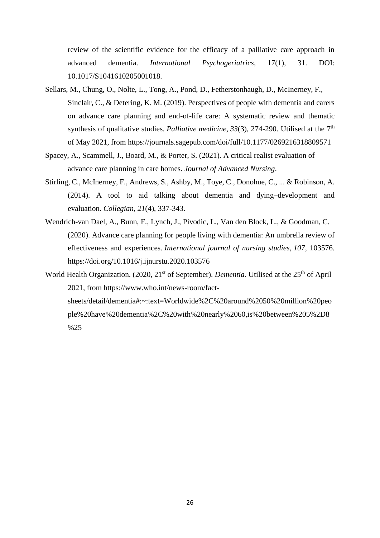review of the scientific evidence for the efficacy of a palliative care approach in advanced dementia. *International Psychogeriatrics,* 17(1), 31. DOI: 10.1017/S1041610205001018.

- Sellars, M., Chung, O., Nolte, L., Tong, A., Pond, D., Fetherstonhaugh, D., McInerney, F., Sinclair, C., & Detering, K. M. (2019). Perspectives of people with dementia and carers on advance care planning and end-of-life care: A systematic review and thematic synthesis of qualitative studies. *Palliative medicine*, *33*(3), 274-290. Utilised at the 7th of May 2021, from<https://journals.sagepub.com/doi/full/10.1177/0269216318809571>
- Spacey, A., Scammell, J., Board, M., & Porter, S. (2021). A critical realist evaluation of advance care planning in care homes. *Journal of Advanced Nursing*.
- Stirling, C., McInerney, F., Andrews, S., Ashby, M., Toye, C., Donohue, C., ... & Robinson, A. (2014). A tool to aid talking about dementia and dying–development and evaluation. *Collegian*, *21*(4), 337-343.
- Wendrich-van Dael, A., Bunn, F., Lynch, J., Pivodic, L., Van den Block, L., & Goodman, C. (2020). Advance care planning for people living with dementia: An umbrella review of effectiveness and experiences. *International journal of nursing studies*, *107*, 103576. https://doi.org/10.1016/j.ijnurstu.2020.103576
- World Health Organization. (2020, 21<sup>st</sup> of September). *Dementia*. Utilised at the 25<sup>th</sup> of April 2021, from [https://www.who.int/news-room/fact](https://www.who.int/news-room/fact-sheets/detail/dementia#:~:text=Worldwide%2C%20around%2050%20million%20people%20have%20dementia%2C%20with%20nearly%2060,is%20between%205%2D8%25)[sheets/detail/dementia#:~:text=Worldwide%2C%20around%2050%20million%20peo](https://www.who.int/news-room/fact-sheets/detail/dementia#:~:text=Worldwide%2C%20around%2050%20million%20people%20have%20dementia%2C%20with%20nearly%2060,is%20between%205%2D8%25) [ple%20have%20dementia%2C%20with%20nearly%2060,is%20between%205%2D8](https://www.who.int/news-room/fact-sheets/detail/dementia#:~:text=Worldwide%2C%20around%2050%20million%20people%20have%20dementia%2C%20with%20nearly%2060,is%20between%205%2D8%25) [%25](https://www.who.int/news-room/fact-sheets/detail/dementia#:~:text=Worldwide%2C%20around%2050%20million%20people%20have%20dementia%2C%20with%20nearly%2060,is%20between%205%2D8%25)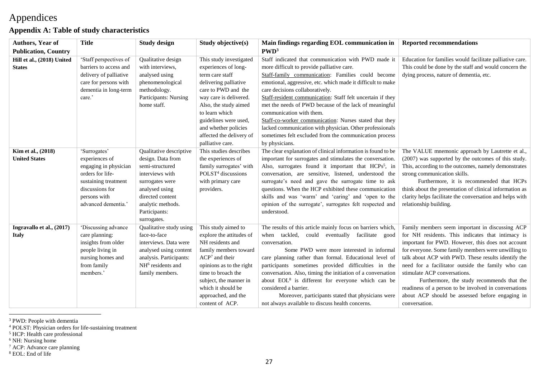# Appendices

## **Appendix A: Table of study characteristics**

<span id="page-26-0"></span>

| <b>Authors, Year of</b>                     | <b>Title</b>                                                                                                                                                  | <b>Study design</b>                                                                                                                                                                              | Study objective(s)                                                                                                                                                                                                                                                                       | Main findings regarding EOL communication in                                                                                                                                                                                                                                                                                                                                                                                                                                                                                                                                                                   | <b>Reported recommendations</b>                                                                                                                                                                                                                                                                                                                                                                                                                                                                                                         |
|---------------------------------------------|---------------------------------------------------------------------------------------------------------------------------------------------------------------|--------------------------------------------------------------------------------------------------------------------------------------------------------------------------------------------------|------------------------------------------------------------------------------------------------------------------------------------------------------------------------------------------------------------------------------------------------------------------------------------------|----------------------------------------------------------------------------------------------------------------------------------------------------------------------------------------------------------------------------------------------------------------------------------------------------------------------------------------------------------------------------------------------------------------------------------------------------------------------------------------------------------------------------------------------------------------------------------------------------------------|-----------------------------------------------------------------------------------------------------------------------------------------------------------------------------------------------------------------------------------------------------------------------------------------------------------------------------------------------------------------------------------------------------------------------------------------------------------------------------------------------------------------------------------------|
| <b>Publication, Country</b>                 |                                                                                                                                                               |                                                                                                                                                                                                  |                                                                                                                                                                                                                                                                                          | PWD <sup>3</sup>                                                                                                                                                                                                                                                                                                                                                                                                                                                                                                                                                                                               |                                                                                                                                                                                                                                                                                                                                                                                                                                                                                                                                         |
| Hill et al., (2018) United<br><b>States</b> | 'Staff perspectives of<br>barriers to access and<br>delivery of palliative<br>care for persons with<br>dementia in long-term<br>care.'                        | Qualitative design<br>with interviews.<br>analysed using<br>phenomenological<br>methodology.<br>Participants: Nursing<br>home staff.                                                             | This study investigated<br>experiences of long-<br>term care staff<br>delivering palliative<br>care to PWD and the<br>way care is delivered.<br>Also, the study aimed<br>to learn which<br>guidelines were used,<br>and whether policies<br>affected the delivery of<br>palliative care. | Staff indicated that communication with PWD made it<br>more difficult to provide palliative care.<br>Staff-family communication: Families could become<br>emotional, aggressive, etc. which made it difficult to make<br>care decisions collaboratively.<br>Staff-resident communication: Staff felt uncertain if they<br>met the needs of PWD because of the lack of meaningful<br>communication with them.<br>Staff-co-worker communication: Nurses stated that they<br>lacked communication with physician. Other professionals<br>sometimes felt excluded from the communication process<br>by physicians. | Education for families would facilitate palliative care.<br>This could be done by the staff and would concern the<br>dying process, nature of dementia, etc.                                                                                                                                                                                                                                                                                                                                                                            |
| Kim et al., (2018)<br><b>United States</b>  | 'Surrogates'<br>experiences of<br>engaging in physician<br>orders for life-<br>sustaining treatment<br>discussions for<br>persons with<br>advanced dementia.' | Qualitative descriptive<br>design. Data from<br>semi-structured<br>interviews with<br>surrogates were<br>analysed using<br>directed content<br>analytic methods.<br>Participants:<br>surrogates. | This studies describes<br>the experiences of<br>family surrogates' with<br>POLST <sup>4</sup> discussions<br>with primary care<br>providers.                                                                                                                                             | The clear explanation of clinical information is found to be<br>important for surrogates and stimulates the conversation.<br>Also, surrogates found it important that HCPs <sup>5</sup> , in<br>conversation, are sensitive, listened, understood the<br>surrogate's need and gave the surrogate time to ask<br>questions. When the HCP exhibited these communication<br>skills and was 'warm' and 'caring' and 'open to the<br>opinion of the surrogate', surrogates felt respected and<br>understood.                                                                                                        | The VALUE mnemonic approach by Lautrette et al.,<br>(2007) was supported by the outcomes of this study.<br>This, according to the outcomes, namely demonstrates<br>strong communication skills.<br>Furthermore, it is recommended that HCPs<br>think about the presentation of clinical information as<br>clarity helps facilitate the conversation and helps with<br>relationship building.                                                                                                                                            |
| Ingravallo et al., (2017)<br><b>Italy</b>   | 'Discussing advance<br>care planning:<br>insights from older<br>people living in<br>nursing homes and<br>from family<br>members.'                             | Qualitative study using<br>face-to-face<br>interviews. Data were<br>analysed using content<br>analysis. Participants:<br>NH <sup>6</sup> residents and<br>family members.                        | This study aimed to<br>explore the attitudes of<br>NH residents and<br>family members toward<br>$ACP7$ and their<br>opinions as to the right<br>time to broach the<br>subject, the manner in<br>which it should be<br>approached, and the<br>content of ACP.                             | The results of this article mainly focus on barriers which,<br>when tackled, could eventually facilitate good<br>conversation.<br>Some PWD were more interested in informal<br>care planning rather than formal. Educational level of<br>participants sometimes provided difficulties in the<br>conversation. Also, timing the initiation of a conversation<br>about EOL <sup>8</sup> is different for everyone which can be<br>considered a barrier.<br>Moreover, participants stated that physicians were<br>not always available to discuss health concerns.                                                | Family members seem important in discussing ACP<br>for NH residents. This indicates that intimacy is<br>important for PWD. However, this does not account<br>for everyone. Some family members were unwilling to<br>talk about ACP with PWD. These results identify the<br>need for a facilitator outside the family who can<br>stimulate ACP conversations.<br>Furthermore, the study recommends that the<br>readiness of a person to be involved in conversations<br>about ACP should be assessed before engaging in<br>conversation. |

<sup>&</sup>lt;sup>3</sup> PWD: People with dementia

```
8 EOL: End of life
```
<span id="page-26-1"></span> $\overline{a}$ 

<sup>4</sup> POLST: Physician orders for life-sustaining treatment

<sup>5</sup> HCP: Health care professional

<sup>&</sup>lt;sup>6</sup> NH: Nursing home

<sup>7</sup> ACP: Advance care planning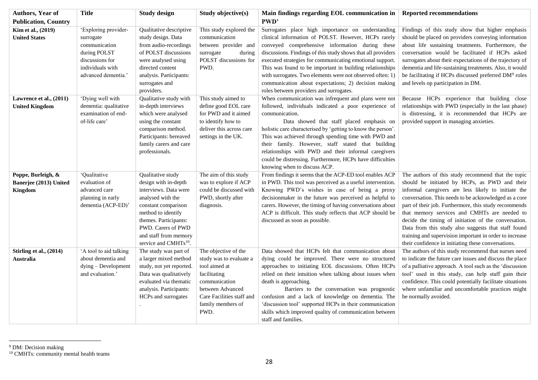| Authors, Year of                                               | <b>Title</b>                                                                                                                    | <b>Study design</b>                                                                                                                                                                                                                               | Study objective(s)                                                                                                                                                              | Main findings regarding EOL communication in                                                                                                                                                                                                                                                                                                                                                                                                                                                                        | <b>Reported recommendations</b>                                                                                                                                                                                                                                                                                                                                                                                                                                                                                                                               |
|----------------------------------------------------------------|---------------------------------------------------------------------------------------------------------------------------------|---------------------------------------------------------------------------------------------------------------------------------------------------------------------------------------------------------------------------------------------------|---------------------------------------------------------------------------------------------------------------------------------------------------------------------------------|---------------------------------------------------------------------------------------------------------------------------------------------------------------------------------------------------------------------------------------------------------------------------------------------------------------------------------------------------------------------------------------------------------------------------------------------------------------------------------------------------------------------|---------------------------------------------------------------------------------------------------------------------------------------------------------------------------------------------------------------------------------------------------------------------------------------------------------------------------------------------------------------------------------------------------------------------------------------------------------------------------------------------------------------------------------------------------------------|
| <b>Publication, Country</b>                                    |                                                                                                                                 |                                                                                                                                                                                                                                                   |                                                                                                                                                                                 | PWD'                                                                                                                                                                                                                                                                                                                                                                                                                                                                                                                |                                                                                                                                                                                                                                                                                                                                                                                                                                                                                                                                                               |
| Kim et al., (2019)<br><b>United States</b>                     | 'Exploring provider-<br>surrogate<br>communication<br>during POLST<br>discussions for<br>individuals with<br>advanced dementia. | Qualitative descriptive<br>study design. Data<br>from audio-recordings<br>of POLST discussions<br>were analysed using<br>directed content<br>analysis. Participants:<br>surrogates and<br>providers.                                              | This study explored the<br>communication<br>between provider and<br>surrogate<br>during<br>POLST discussions for<br>PWD.                                                        | Surrogates place high importance on understanding<br>clinical information of POLST. However, HCPs rarely<br>conveyed comprehensive information during these<br>discussions. Findings of this study shows that all providers<br>executed strategies for communicating emotional support.<br>This was found to be important in building relationships<br>with surrogates. Two elements were not observed often: 1)<br>communication about expectations; 2) decision making<br>roles between providers and surrogates. | Findings of this study show that higher emphasis<br>should be placed on providers conveying information<br>about life sustaining treatments. Furthermore, the<br>conversation would be facilitated if HCPs asked<br>surrogates about their expectations of the trajectory of<br>dementia and life-sustaining treatments. Also, it would<br>be facilitating if HCPs discussed preferred DM <sup>9</sup> roles<br>and levels op participation in DM.                                                                                                            |
| Lawrence et al., (2011)<br><b>United Kingdom</b>               | 'Dying well with<br>dementia: qualitative<br>examination of end-<br>of-life care'                                               | Qualitative study with<br>in-depth interviews<br>which were analysed<br>using the constant<br>comparison method.<br>Participants: bereaved<br>family carers and care<br>professionals.                                                            | This study aimed to<br>define good EOL care<br>for PWD and it aimed<br>to identify how to<br>deliver this across care<br>settings in the UK.                                    | When communication was infrequent and plans were not<br>followed, individuals indicated a poor experience of<br>communication.<br>Data showed that staff placed emphasis on<br>holistic care characterised by 'getting to know the person'.<br>This was achieved through spending time with PWD and<br>their family. However, staff stated that building<br>relationships with PWD and their informal caregivers<br>could be distressing. Furthermore, HCPs have difficulties<br>knowing when to discuss ACP.       | Because HCPs experience that building close<br>relationships with PWD (especially in the last phase)<br>is distressing, it is recommended that HCPs are<br>provided support in managing anxieties.                                                                                                                                                                                                                                                                                                                                                            |
| Poppe, Burleigh, &<br>Banerjee (2013) United<br><b>Kingdom</b> | 'Qualitative<br>evaluation of<br>advanced care<br>planning in early<br>dementia (ACP-ED)                                        | Qualitative study<br>design with in-depth<br>interviews. Data were<br>analysed with the<br>constant comparison<br>method to identify<br>themes. Participants:<br>PWD. Carers of PWD<br>and staff from memory<br>service and CMHTs <sup>10</sup> . | The aim of this study<br>was to explore if ACP<br>could be discussed with<br>PWD, shortly after<br>diagnosis.                                                                   | From findings it seems that the ACP-ED tool enables ACP<br>in PWD. This tool was perceived as a useful intervention.<br>Knowing PWD's wishes in case of being a proxy<br>decisionmaker in the future was perceived as helpful to<br>carers. However, the timing of having conversations about<br>ACP is difficult. This study reflects that ACP should be<br>discussed as soon as possible.                                                                                                                         | The authors of this study recommend that the topic<br>should be initiated by HCPs, as PWD and their<br>informal caregivers are less likely to initiate the<br>conversation. This needs to be acknowledged as a core<br>part of their job. Furthermore, this study recommends<br>that memory services and CMHTs are needed to<br>decide the timing of initiation of the conversation.<br>Data from this study also suggests that staff found<br>training and supervision important in order to increase<br>their confidence in initiating these conversations. |
| Stirling et al., (2014)<br>Australia                           | 'A tool to aid talking<br>about dementia and<br>dying - Development<br>and evaluation.'                                         | The study was part of<br>a larger mixed method<br>study, not yet reported.<br>Data was qualitatively<br>evaluated via thematic<br>analysis. Participants:<br>HCPs and surrogates                                                                  | The objective of the<br>study was to evaluate a<br>tool aimed at<br>facilitating<br>communication<br>between Advanced<br>Care Facilities staff and<br>family members of<br>PWD. | Data showed that HCPs felt that communication about<br>dying could be improved. There were no structured<br>approaches to initiating EOL discussions. Often HCPs<br>relied on their intuition when talking about issues when<br>death is approaching.<br>Barriers to the conversation was prognostic<br>confusion and a lack of knowledge on dementia. The<br>'discussion tool' supported HCPs in their communication<br>skills which improved quality of communication between<br>staff and families.              | The authors of this study recommend that nurses need<br>to indicate the future care issues and discuss the place<br>of a palliative approach. A tool such as the 'discussion<br>tool' used in this study, can help staff gain their<br>confidence. This could potentially facilitate situations<br>where unfamiliar and uncomfortable practices might<br>be normally avoided.                                                                                                                                                                                 |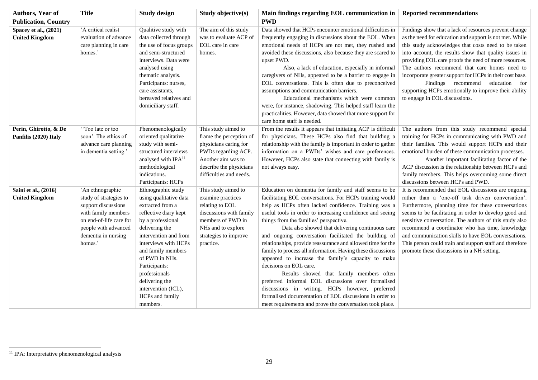| Authors, Year of                               | <b>Title</b>                                                                                                                                                                  | <b>Study design</b>                                                                                                                                                                                                                                                                                                                 | Study objective(s)                                                                                                                                                         | Main findings regarding EOL communication in                                                                                                                                                                                                                                                                                                                                                                                                                                                                                                                                                                                                                                                                                                                                                                                                                                           | <b>Reported recommendations</b>                                                                                                                                                                                                                                                                                                                                                                                                                                                                                                     |
|------------------------------------------------|-------------------------------------------------------------------------------------------------------------------------------------------------------------------------------|-------------------------------------------------------------------------------------------------------------------------------------------------------------------------------------------------------------------------------------------------------------------------------------------------------------------------------------|----------------------------------------------------------------------------------------------------------------------------------------------------------------------------|----------------------------------------------------------------------------------------------------------------------------------------------------------------------------------------------------------------------------------------------------------------------------------------------------------------------------------------------------------------------------------------------------------------------------------------------------------------------------------------------------------------------------------------------------------------------------------------------------------------------------------------------------------------------------------------------------------------------------------------------------------------------------------------------------------------------------------------------------------------------------------------|-------------------------------------------------------------------------------------------------------------------------------------------------------------------------------------------------------------------------------------------------------------------------------------------------------------------------------------------------------------------------------------------------------------------------------------------------------------------------------------------------------------------------------------|
| <b>Publication, Country</b>                    |                                                                                                                                                                               |                                                                                                                                                                                                                                                                                                                                     |                                                                                                                                                                            | <b>PWD</b>                                                                                                                                                                                                                                                                                                                                                                                                                                                                                                                                                                                                                                                                                                                                                                                                                                                                             |                                                                                                                                                                                                                                                                                                                                                                                                                                                                                                                                     |
| Spacey et al., (2021)<br><b>United Kingdom</b> | 'A critical realist<br>evaluation of advance<br>care planning in care<br>homes.'                                                                                              | Qualitive study with<br>data collected through<br>the use of focus groups<br>and semi-structured<br>interviews. Data were<br>analysed using<br>thematic analysis.<br>Participants: nurses,<br>care assistants,<br>bereaved relatives and<br>domiciliary staff.                                                                      | The aim of this study<br>was to evaluate ACP of<br>EOL care in care<br>homes.                                                                                              | Data showed that HCPs encounter emotional difficulties in<br>frequently engaging in discussions about the EOL. When<br>emotional needs of HCPs are not met, they rushed and<br>avoided these discussions, also because they are scared to<br>upset PWD.<br>Also, a lack of education, especially in informal<br>caregivers of NHs, appeared to be a barrier to engage in<br>EOL conversations. This is often due to preconceived<br>assumptions and communication barriers.<br>Educational mechanisms which were common<br>were, for instance, shadowing. This helped staff learn the<br>practicalities. However, data showed that more support for<br>care home staff is needed.                                                                                                                                                                                                      | Findings show that a lack of resources prevent change<br>as the need for education and support is not met. While<br>this study acknowledges that costs need to be taken<br>into account, the results show that quality issues in<br>providing EOL care proofs the need of more resources.<br>The authors recommend that care homes need to<br>incorporate greater support for HCPs in their cost base.<br>Findings recommend education for<br>supporting HCPs emotionally to improve their ability<br>to engage in EOL discussions. |
| Perin, Ghirotto, & De<br>Panfilis (2020) Italy | "Too late or too<br>soon': The ethics of<br>advance care planning<br>in dementia setting.'                                                                                    | Phenomenologically<br>oriented qualitative<br>study with semi-<br>structured interviews<br>analysed with IPA <sup>11</sup><br>methodological<br>indications.<br>Participants: HCPs                                                                                                                                                  | This study aimed to<br>frame the perception of<br>physicians caring for<br>PWDs regarding ACP.<br>Another aim was to<br>describe the physicians<br>difficulties and needs. | From the results it appears that initiating ACP is difficult<br>for physicians. These HCPs also find that building a<br>relationship with the family is important in order to gather<br>information on a PWDs' wishes and care preferences.<br>However, HCPs also state that connecting with family is<br>not always easy.                                                                                                                                                                                                                                                                                                                                                                                                                                                                                                                                                             | The authors from this study recommend special<br>training for HCPs in communicating with PWD and<br>their families. This would support HCPs and their<br>emotional burden of these communication processes.<br>Another important facilitating factor of the<br>ACP discussion is the relationship between HCPs and<br>family members. This helps overcoming some direct<br>discussions between HCPs and PWD.                                                                                                                        |
| Saini et al., (2016)<br><b>United Kingdom</b>  | 'An ethnographic<br>study of strategies to<br>support discussions<br>with family members<br>on end-of-life care for<br>people with advanced<br>dementia in nursing<br>homes.' | Ethnographic study<br>using qualitative data<br>extracted from a<br>reflective diary kept<br>by a professional<br>delivering the<br>intervention and from<br>interviews with HCPs<br>and family members<br>of PWD in NHs.<br>Participants:<br>professionals<br>delivering the<br>intervention (ICL),<br>HCPs and family<br>members. | This study aimed to<br>examine practices<br>relating to EOL<br>discussions with family<br>members of PWD in<br>NHs and to explore<br>strategies to improve<br>practice.    | Education on dementia for family and staff seems to be<br>facilitating EOL conversations. For HCPs training would<br>help as HCPs often lacked confidence. Training was a<br>useful tools in order to increasing confidence and seeing<br>things from the families' perspective.<br>Data also showed that delivering continuous care<br>and ongoing conversation facilitated the building of<br>relationships, provide reassurance and allowed time for the<br>family to process all information. Having these discussions<br>appeared to increase the family's capacity to make<br>decisions on EOL care.<br>Results showed that family members often<br>preferred informal EOL discussions over formalised<br>discussions in writing. HCPs however, preferred<br>formalised documentation of EOL discussions in order to<br>meet requirements and prove the conversation took place. | It is recommended that EOL discussions are ongoing<br>rather than a 'one-off task driven conversation'.<br>Furthermore, planning time for these conversations<br>seems to be facilitating in order to develop good and<br>sensitive conversation. The authors of this study also<br>recommend a coordinator who has time, knowledge<br>and communication skills to have EOL conversations.<br>This person could train and support staff and therefore<br>promote these discussions in a NH setting.                                 |

 $\overline{a}$ 

<sup>&</sup>lt;sup>11</sup> IPA: Interpretative phenomenological analysis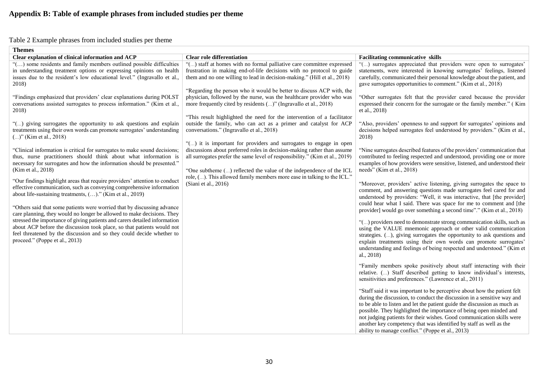## Table 2 Example phrases from included studies per theme

<span id="page-29-0"></span>

| Clear explanation of clinical information and ACP                                                                                                                                                                                                                                                                                                                                                                                                                                                                                                                                                                                                                                                                                                                                                                                                                                                                                                                                                                                                                                                                                                                                                                                                                                                                                                                                                                                                                                      | <b>Clear role differentiation</b>                                                                                                                                                                                                                                                                                                                                                                                                                                                                                                                                                                                                                                                                                                                                                                                                                                                                                                                                                                                                                      | <b>Facilitating communicative skills</b>                                                                                                                                                                                                                                                                                                                                                                                                                                                                                                                                                                                                                                                                                                                                                                                                                                                                                                                                                                                                                                                                                                                                                                                                                                                                                                                                                                                                                                                                                                                                                                                                                                                                                                                                                                                                                                                                                                                                                                                                                                                                                                                                                                                                      |
|----------------------------------------------------------------------------------------------------------------------------------------------------------------------------------------------------------------------------------------------------------------------------------------------------------------------------------------------------------------------------------------------------------------------------------------------------------------------------------------------------------------------------------------------------------------------------------------------------------------------------------------------------------------------------------------------------------------------------------------------------------------------------------------------------------------------------------------------------------------------------------------------------------------------------------------------------------------------------------------------------------------------------------------------------------------------------------------------------------------------------------------------------------------------------------------------------------------------------------------------------------------------------------------------------------------------------------------------------------------------------------------------------------------------------------------------------------------------------------------|--------------------------------------------------------------------------------------------------------------------------------------------------------------------------------------------------------------------------------------------------------------------------------------------------------------------------------------------------------------------------------------------------------------------------------------------------------------------------------------------------------------------------------------------------------------------------------------------------------------------------------------------------------------------------------------------------------------------------------------------------------------------------------------------------------------------------------------------------------------------------------------------------------------------------------------------------------------------------------------------------------------------------------------------------------|-----------------------------------------------------------------------------------------------------------------------------------------------------------------------------------------------------------------------------------------------------------------------------------------------------------------------------------------------------------------------------------------------------------------------------------------------------------------------------------------------------------------------------------------------------------------------------------------------------------------------------------------------------------------------------------------------------------------------------------------------------------------------------------------------------------------------------------------------------------------------------------------------------------------------------------------------------------------------------------------------------------------------------------------------------------------------------------------------------------------------------------------------------------------------------------------------------------------------------------------------------------------------------------------------------------------------------------------------------------------------------------------------------------------------------------------------------------------------------------------------------------------------------------------------------------------------------------------------------------------------------------------------------------------------------------------------------------------------------------------------------------------------------------------------------------------------------------------------------------------------------------------------------------------------------------------------------------------------------------------------------------------------------------------------------------------------------------------------------------------------------------------------------------------------------------------------------------------------------------------------|
| <b>Themes</b><br>"() some residents and family members outlined possible difficulties<br>in understanding treatment options or expressing opinions on health<br>issues due to the resident's low educational level." (Ingravallo et al.,<br>2018)<br>"Findings emphasized that providers' clear explanations during POLST<br>conversations assisted surrogates to process information." (Kim et al.,<br>2018)<br>"() giving surrogates the opportunity to ask questions and explain<br>treatments using their own words can promote surrogates' understanding<br>$()$ " (Kim et al., 2018)<br>"Clinical information is critical for surrogates to make sound decisions;<br>thus, nurse practitioners should think about what information is<br>necessary for surrogates and how the information should be presented."<br>(Kim et al., 2018)<br>"Our findings highlight areas that require providers' attention to conduct<br>effective communication, such as conveying comprehensive information<br>about life-sustaining treatments, ()." (Kim et al., 2019)<br>"Others said that some patients were worried that by discussing advance<br>care planning, they would no longer be allowed to make decisions. They<br>stressed the importance of giving patients and carers detailed information<br>about ACP before the discussion took place, so that patients would not<br>feel threatened by the discussion and so they could decide whether to<br>proceed." (Poppe et al., 2013) | "() staff at homes with no formal palliative care committee expressed<br>frustration in making end-of-life decisions with no protocol to guide<br>them and no one willing to lead in decision-making." (Hill et al., 2018)<br>"Regarding the person who it would be better to discuss ACP with, the<br>physician, followed by the nurse, was the healthcare provider who was<br>more frequently cited by residents ()" (Ingravallo et al., 2018)<br>"This result highlighted the need for the intervention of a facilitator<br>outside the family, who can act as a primer and catalyst for ACP<br>conversations." (Ingravallo et al., 2018)<br>"() it is important for providers and surrogates to engage in open<br>discussions about preferred roles in decision-making rather than assume<br>all surrogates prefer the same level of responsibility." (Kim et al., 2019)<br>"One subtheme () reflected the value of the independence of the ICL<br>role, (). This allowed family members more ease in talking to the ICL."<br>(Siani et al., 2016) | "() surrogates appreciated that providers were open to surrogates<br>statements, were interested in knowing surrogates' feelings, listened<br>carefully, communicated their personal knowledge about the patient, and<br>gave surrogates opportunities to comment." (Kim et al., 2018)<br>"Other surrogates felt that the provider cared because the provider<br>expressed their concern for the surrogate or the family member." (Kim<br>et al., 2018)<br>"Also, providers' openness to and support for surrogates' opinions and<br>decisions helped surrogates feel understood by providers." (Kim et al.,<br>2018)<br>"Nine surrogates described features of the providers' communication that<br>contributed to feeling respected and understood, providing one or more<br>examples of how providers were sensitive, listened, and understood their<br>needs" (Kim et al., 2018)<br>"Moreover, providers' active listening, giving surrogates the space to<br>comment, and answering questions made surrogates feel cared for and<br>understood by providers: "Well, it was interactive, that [the provider]<br>could hear what I said. There was space for me to comment and [the<br>provider] would go over something a second time"." (Kim et al., 2018)<br>"() providers need to demonstrate strong communication skills, such as<br>using the VALUE mnemonic approach or other valid communication<br>strategies. (), giving surrogates the opportunity to ask questions and<br>explain treatments using their own words can promote surrogates'<br>understanding and feelings of being respected and understood." (Kim et<br>al., 2018)<br>"Family members spoke positively about staff interacting with their<br>relative. () Staff described getting to know individual's interests,<br>sensitivities and preferences." (Lawrence et al., 2011)<br>"Staff said it was important to be perceptive about how the patient felt<br>during the discussion, to conduct the discussion in a sensitive way and<br>to be able to listen and let the patient guide the discussion as much as<br>possible. They highlighted the importance of being open minded and<br>not judging patients for their wishes. Good communication skills were |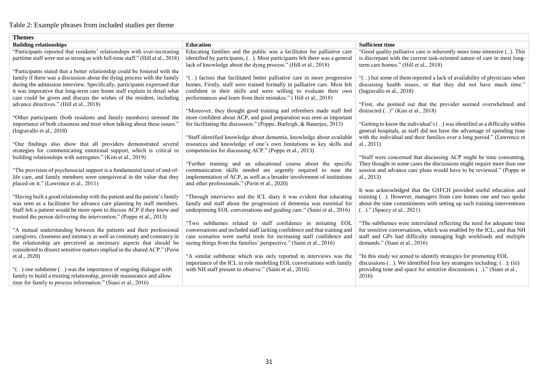## Table 2: Example phrases from included studies per theme

| <b>Themes</b>                                                                                                                                                                                                                                                                                             |                                                                                                                                                                                                                                                                                              |                                                                                                                                                                               |
|-----------------------------------------------------------------------------------------------------------------------------------------------------------------------------------------------------------------------------------------------------------------------------------------------------------|----------------------------------------------------------------------------------------------------------------------------------------------------------------------------------------------------------------------------------------------------------------------------------------------|-------------------------------------------------------------------------------------------------------------------------------------------------------------------------------|
| <b>Building relationships</b>                                                                                                                                                                                                                                                                             | <b>Education</b>                                                                                                                                                                                                                                                                             | <b>Sufficient time</b>                                                                                                                                                        |
| "Participants reported that residents' relationships with ever-increasing                                                                                                                                                                                                                                 | Educating families and the public was a facilitator for palliative care                                                                                                                                                                                                                      | "Good quality palliative care is inherently more time-intensive (). This                                                                                                      |
| parttime staff were not as strong as with full-time staff." (Hill et al., 2018)                                                                                                                                                                                                                           | identified by participants, (). Most participants felt there was a general<br>lack of knowledge about the dying process." (Hill et al., 2018)                                                                                                                                                | is discrepant with the current task-oriented nature of care in most long-<br>term care homes." (Hill et al., 2018)                                                            |
| "Participants stated that a better relationship could be fostered with the                                                                                                                                                                                                                                |                                                                                                                                                                                                                                                                                              |                                                                                                                                                                               |
| family if there was a discussion about the dying process with the family<br>during the admission interview. Specifically, participants expressed that<br>it was imperative that long-term care home staff explain in detail what<br>care could be given and discuss the wishes of the resident, including | "() factors that facilitated better palliative care in more progressive<br>homes. Firstly, staff were trained formally in palliative care. Most felt<br>confident in their skills and were willing to evaluate their own<br>performances and learn from their mistakes." (Hill et al., 2018) | "() but some of them reported a lack of availability of physicians when<br>discussing health issues, or that they did not have much time."<br>(Ingravallo et al., 2018)       |
| advance directives." (Hill et al., 2018)                                                                                                                                                                                                                                                                  |                                                                                                                                                                                                                                                                                              | "First, she pointed out that the provider seemed overwhelmed and                                                                                                              |
| "Other participants (both residents and family members) stressed the                                                                                                                                                                                                                                      | "Moreover, they thought good training and refreshers made staff feel<br>more confident about ACP, and good preparation was seen as important                                                                                                                                                 | distracted $()$ " (Kim et al., 2018)                                                                                                                                          |
| importance of both closeness and trust when talking about these issues."<br>(Ingravallo et al., 2018)                                                                                                                                                                                                     | for facilitating the discussion." (Poppe, Burleigh, & Banerjee, 2013)                                                                                                                                                                                                                        | "Getting to know the individual's () was identified as a difficulty within<br>general hospitals, as staff did not have the advantage of spending time                         |
| "Our findings also show that all providers demonstrated several<br>strategies for communicating emotional support, which is critical to                                                                                                                                                                   | "Staff identified knowledge about dementia, knowledge about available<br>resources and knowledge of one's own limitations as key skills and<br>competencies for discussing ACP." (Poppe et al., 2013)                                                                                        | with the individual and their families over a long period." (Lawrence et<br>al., $2011$ )                                                                                     |
| building relationships with surrogates." (Kim et al., 2019)                                                                                                                                                                                                                                               |                                                                                                                                                                                                                                                                                              | "Staff were concerned that discussing ACP might be time consuming.                                                                                                            |
| "The provision of psychosocial support is a fundamental tenet of end-of-<br>life care, and family members were unequivocal in the value that they<br>placed on it." (Lawrence et al., 2011)                                                                                                               | "Further training and an educational course about the specific<br>communication skills needed are urgently required to ease the<br>implementation of ACP, as well as a broader involvement of institutions<br>and other professionals." (Perin et al., 2020)                                 | They thought in some cases the discussions might require more than one<br>session and advance care plans would have to be reviewed." (Poppe et<br>al., 2013)                  |
|                                                                                                                                                                                                                                                                                                           |                                                                                                                                                                                                                                                                                              | It was acknowledged that the GSFCH provided useful education and                                                                                                              |
| "Having built a good relationship with the patient and the patient's family<br>was seen as a facilitator for advance care planning by staff members.<br>Staff felt a patient would be more open to discuss ACP if they knew and<br>trusted the person delivering the intervention." (Poppe et al., 2013)  | "Through interviews and the ICL diary it was evident that educating<br>family and staff about the progression of dementia was essential for<br>underpinning EOL conversations and guiding care." (Saini et al., 2016)                                                                        | training (). However, managers from care homes one and two spoke<br>about the time commitments with setting up such training interventions<br>()." (Spacey et al., 2021)      |
|                                                                                                                                                                                                                                                                                                           | "Two subthemes related to staff confidence in initiating EOL                                                                                                                                                                                                                                 | "The subthemes were interrelated reflecting the need for adequate time                                                                                                        |
| "A mutual understanding between the patients and their professional<br>caregivers, closeness and intimacy as well as continuity and constancy in<br>the relationship are perceived as necessary aspects that should be<br>considered to dissect sensitive matters implied in the shared ACP." (Perin      | conversations and included staff lacking confidence and that training and<br>case scenarios were useful tools for increasing staff confidence and<br>seeing things from the families' perspective." (Saini et al., 2016)                                                                     | for sensitive conversations, which was enabled by the ICL, and that NH<br>staff and GPs had difficulty managing high workloads and multiple<br>demands." (Siani et al., 2016) |
| et al., 2020)                                                                                                                                                                                                                                                                                             | "A similar subtheme which was only reported in interviews was the                                                                                                                                                                                                                            | "In this study we aimed to identify strategies for promoting EOL                                                                                                              |
| "() one subtheme () was the importance of ongoing dialogue with<br>family to build a trusting relationship, provide reassurance and allow<br>time for family to process information." (Siani et al., 2016)                                                                                                | importance of the ICL in role modelling EOL conversations with family<br>with NH staff present to observe." (Saini et al., 2016)                                                                                                                                                             | discussions (). We identified four key strategies including: (); (iii)<br>providing time and space for sensitive discussions ()." (Siani et al.,<br>2016)                     |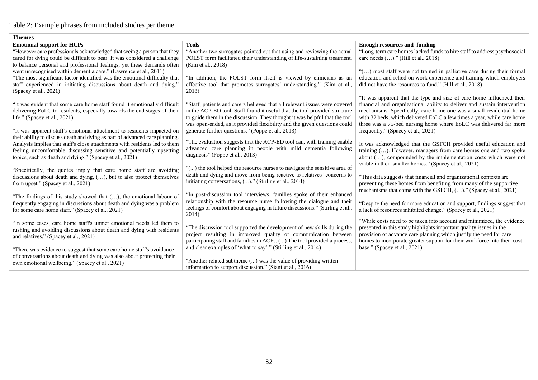## Table 2: Example phrases from included studies per theme

| <b>Themes</b>                                                                                                                                                                                                                  |                                                                                                                                                                                                                                         |                                                                                                                                                                                                                                                                                                |  |  |  |
|--------------------------------------------------------------------------------------------------------------------------------------------------------------------------------------------------------------------------------|-----------------------------------------------------------------------------------------------------------------------------------------------------------------------------------------------------------------------------------------|------------------------------------------------------------------------------------------------------------------------------------------------------------------------------------------------------------------------------------------------------------------------------------------------|--|--|--|
| <b>Emotional support for HCPs</b>                                                                                                                                                                                              | <b>Tools</b>                                                                                                                                                                                                                            | <b>Enough resources and funding</b>                                                                                                                                                                                                                                                            |  |  |  |
| "However care professionals acknowledged that seeing a person that they<br>cared for dying could be difficult to bear. It was considered a challenge<br>to balance personal and professional feelings, yet these demands often | "Another two surrogates pointed out that using and reviewing the actual<br>POLST form facilitated their understanding of life-sustaining treatment.<br>(Kim et al., 2018)                                                               | "Long-term care homes lacked funds to hire staff to address psychosocial<br>care needs ()." (Hill et al., 2018)                                                                                                                                                                                |  |  |  |
| went unrecognised within dementia care." (Lawrence et al., 2011)<br>"The most significant factor identified was the emotional difficulty that                                                                                  | "In addition, the POLST form itself is viewed by clinicians as an                                                                                                                                                                       | "() most staff were not trained in palliative care during their formal<br>education and relied on work experience and training which employers                                                                                                                                                 |  |  |  |
| staff experienced in initiating discussions about death and dying."<br>(Spacey et al., $2021$ )                                                                                                                                | effective tool that promotes surrogates' understanding." (Kim et al.,<br>2018)                                                                                                                                                          | did not have the resources to fund." (Hill et al., 2018)                                                                                                                                                                                                                                       |  |  |  |
| "It was evident that some care home staff found it emotionally difficult<br>delivering EoLC to residents, especially towards the end stages of their                                                                           | "Staff, patients and carers believed that all relevant issues were covered<br>in the ACP-ED tool. Staff found it useful that the tool provided structure                                                                                | "It was apparent that the type and size of care home influenced their<br>financial and organizational ability to deliver and sustain intervention<br>mechanisms. Specifically, care home one was a small residential home                                                                      |  |  |  |
| life." (Spacey et al., 2021)                                                                                                                                                                                                   | to guide them in the discussion. They thought it was helpful that the tool<br>was open-ended, as it provided flexibility and the given questions could                                                                                  | with 32 beds, which delivered EoLC a few times a year, while care home<br>three was a 75-bed nursing home where EoLC was delivered far more                                                                                                                                                    |  |  |  |
| "It was apparent staff's emotional attachment to residents impacted on<br>their ability to discuss death and dying as part of advanced care planning.                                                                          | generate further questions." (Poppe et al., 2013)<br>"The evaluation suggests that the ACP-ED tool can, with training enable                                                                                                            | frequently." (Spacey et al., 2021)                                                                                                                                                                                                                                                             |  |  |  |
| Analysis implies that staff's close attachments with residents led to them<br>feeling uncomfortable discussing sensitive and potentially upsetting<br>topics, such as death and dying." (Spacey et al., 2021)                  | advanced care planning in people with mild dementia following<br>diagnosis" (Poppe et al., 2013)                                                                                                                                        | It was acknowledged that the GSFCH provided useful education and<br>training (). However, managers from care homes one and two spoke<br>about (), compounded by the implementation costs which were not<br>viable in their smaller homes." (Spacey et al., 2021)                               |  |  |  |
| "Specifically, the quotes imply that care home staff are avoiding<br>discussions about death and dying, (), but to also protect themselves<br>from upset." (Spacey et al., 2021)                                               | "() the tool helped the resource nurses to navigate the sensitive area of<br>death and dying and move from being reactive to relatives' concerns to<br>initiating conversations, ()." (Stirling et al., 2014)                           | "This data suggests that financial and organizational contexts are<br>preventing these homes from benefiting from many of the supportive<br>mechanisms that come with the GSFCH, ()." (Spacey et al., 2021)                                                                                    |  |  |  |
| "The findings of this study showed that (), the emotional labour of<br>frequently engaging in discussions about death and dying was a problem<br>for some care home staff." (Spacey et al., 2021)                              | "In post-discussion tool interviews, families spoke of their enhanced<br>relationship with the resource nurse following the dialogue and their<br>feelings of comfort about engaging in future discussions." (Stirling et al.,<br>2014) | "Despite the need for more education and support, findings suggest that<br>a lack of resources inhibited change." (Spacey et al., 2021)                                                                                                                                                        |  |  |  |
| "In some cases, care home staff's unmet emotional needs led them to<br>rushing and avoiding discussions about death and dying with residents<br>and relatives." (Spacey et al., 2021)                                          | "The discussion tool supported the development of new skills during the<br>project resulting in improved quality of communication between<br>participating staff and families in ACFs. () The tool provided a process,                  | "While costs need to be taken into account and minimized, the evidence<br>presented in this study highlights important quality issues in the<br>provision of advance care planning which justify the need for care<br>homes to incorporate greater support for their workforce into their cost |  |  |  |
| "There was evidence to suggest that some care home staff's avoidance<br>of conversations about death and dying was also about protecting their<br>own emotional wellbeing." (Spacey et al., 2021)                              | and clear examples of 'what to say'." (Stirling et al., 2014)<br>"Another related subtheme () was the value of providing written<br>information to support discussion." (Siani et al., 2016)                                            | base." (Spacey et al., 2021)                                                                                                                                                                                                                                                                   |  |  |  |